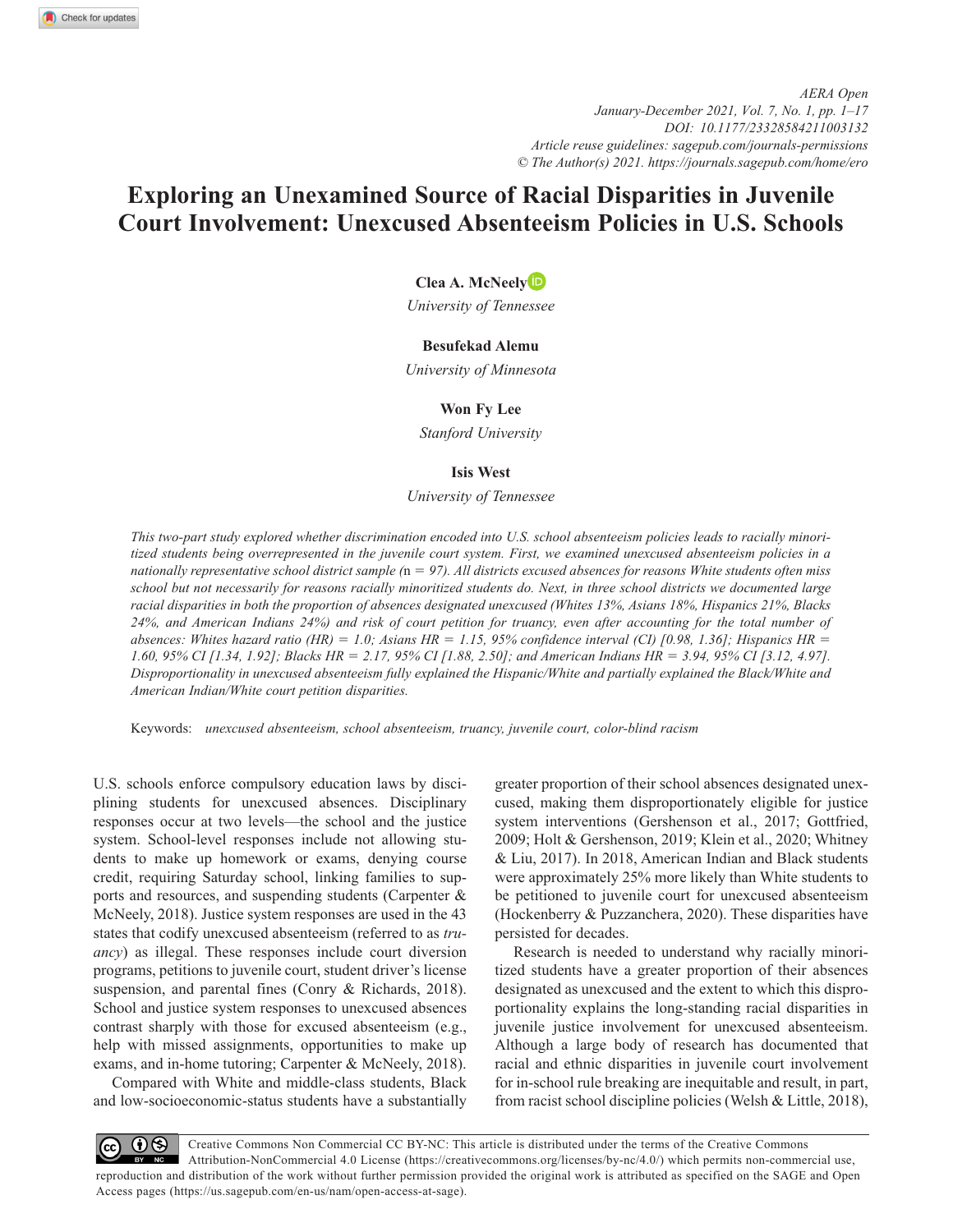*AERA Open January-December 2021, Vol. 7, No. 1, pp. 1–17 DOI:https://doi.org/10.1177/23328584211003132 Article reuse guidelines: [sagepub.com/journals-permissions](https://us.sagepub.com/en-us/journals-permissions) © The Author(s) 2021. https://journals.sagepub.com/home/ero*

# **Exploring an Unexamined Source of Racial Disparities in Juvenile Court Involvement: Unexcused Absenteeism Policies in U.S. Schools**

**Clea A. McNeely**

*University of Tennessee*

# **Besufekad Alemu**

*University of Minnesota*

# **Won Fy Lee**

*Stanford University*

# **Isis West**

*University of Tennessee*

*This two-part study explored whether discrimination encoded into U.S. school absenteeism policies leads to racially minoritized students being overrepresented in the juvenile court system. First, we examined unexcused absenteeism policies in a nationally representative school district sample (*n = *97). All districts excused absences for reasons White students often miss school but not necessarily for reasons racially minoritized students do. Next, in three school districts we documented large racial disparities in both the proportion of absences designated unexcused (Whites 13%, Asians 18%, Hispanics 21%, Blacks 24%, and American Indians 24%) and risk of court petition for truancy, even after accounting for the total number of absences: Whites hazard ratio (HR)* = *1.0; Asians HR* = *1.15, 95% confidence interval (CI) [0.98, 1.36]; Hispanics HR* = *1.60, 95% CI [1.34, 1.92]; Blacks HR* = *2.17, 95% CI [1.88, 2.50]; and American Indians HR* = *3.94, 95% CI [3.12, 4.97]. Disproportionality in unexcused absenteeism fully explained the Hispanic/White and partially explained the Black/White and American Indian/White court petition disparities.*

Keywords: *unexcused absenteeism, school absenteeism, truancy, juvenile court, color-blind racism*

U.S. schools enforce compulsory education laws by disciplining students for unexcused absences. Disciplinary responses occur at two levels—the school and the justice system. School-level responses include not allowing students to make up homework or exams, denying course credit, requiring Saturday school, linking families to supports and resources, and suspending students (Carpenter & McNeely, 2018). Justice system responses are used in the 43 states that codify unexcused absenteeism (referred to as *truancy*) as illegal. These responses include court diversion programs, petitions to juvenile court, student driver's license suspension, and parental fines (Conry & Richards, 2018). School and justice system responses to unexcused absences contrast sharply with those for excused absenteeism (e.g., help with missed assignments, opportunities to make up exams, and in-home tutoring; Carpenter & McNeely, 2018).

Compared with White and middle-class students, Black and low-socioeconomic-status students have a substantially

greater proportion of their school absences designated unexcused, making them disproportionately eligible for justice system interventions (Gershenson et al., 2017; Gottfried, 2009; Holt & Gershenson, 2019; Klein et al., 2020; Whitney & Liu, 2017). In 2018, American Indian and Black students were approximately 25% more likely than White students to be petitioned to juvenile court for unexcused absenteeism (Hockenberry & Puzzanchera, 2020). These disparities have persisted for decades.

Research is needed to understand why racially minoritized students have a greater proportion of their absences designated as unexcused and the extent to which this disproportionality explains the long-standing racial disparities in juvenile justice involvement for unexcused absenteeism. Although a large body of research has documented that racial and ethnic disparities in juvenile court involvement for in-school rule breaking are inequitable and result, in part, from racist school discipline policies (Welsh & Little, 2018),

Creative Commons Non Commercial CC BY-NC: This article is distributed under the terms of the Creative Commons  $\Theta$  $\left( c c \right)$ Attribution-NonCommercial 4.0 License (https://creativecommons.org/licenses/by-nc/4.0/) which permits non-commercial use, reproduction and distribution of the work without further permission provided the original work is attributed as specified on the SAGE and Open Access pages (https://us.sagepub.com/en-us/nam/open-access-at-sage).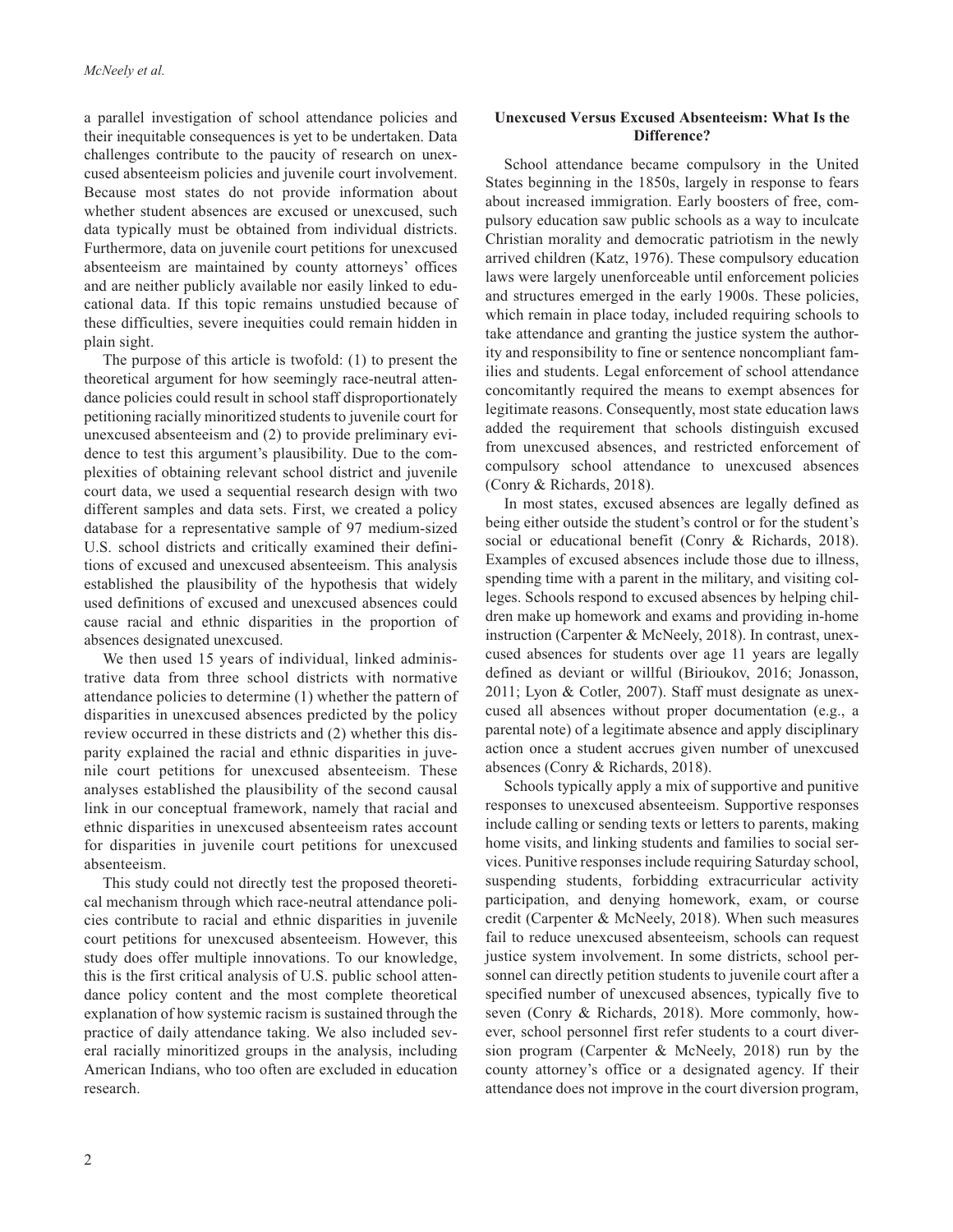a parallel investigation of school attendance policies and their inequitable consequences is yet to be undertaken. Data challenges contribute to the paucity of research on unexcused absenteeism policies and juvenile court involvement. Because most states do not provide information about whether student absences are excused or unexcused, such data typically must be obtained from individual districts. Furthermore, data on juvenile court petitions for unexcused absenteeism are maintained by county attorneys' offices and are neither publicly available nor easily linked to educational data. If this topic remains unstudied because of these difficulties, severe inequities could remain hidden in plain sight.

The purpose of this article is twofold: (1) to present the theoretical argument for how seemingly race-neutral attendance policies could result in school staff disproportionately petitioning racially minoritized students to juvenile court for unexcused absenteeism and (2) to provide preliminary evidence to test this argument's plausibility. Due to the complexities of obtaining relevant school district and juvenile court data, we used a sequential research design with two different samples and data sets. First, we created a policy database for a representative sample of 97 medium-sized U.S. school districts and critically examined their definitions of excused and unexcused absenteeism. This analysis established the plausibility of the hypothesis that widely used definitions of excused and unexcused absences could cause racial and ethnic disparities in the proportion of absences designated unexcused.

We then used 15 years of individual, linked administrative data from three school districts with normative attendance policies to determine (1) whether the pattern of disparities in unexcused absences predicted by the policy review occurred in these districts and (2) whether this disparity explained the racial and ethnic disparities in juvenile court petitions for unexcused absenteeism. These analyses established the plausibility of the second causal link in our conceptual framework, namely that racial and ethnic disparities in unexcused absenteeism rates account for disparities in juvenile court petitions for unexcused absenteeism.

This study could not directly test the proposed theoretical mechanism through which race-neutral attendance policies contribute to racial and ethnic disparities in juvenile court petitions for unexcused absenteeism. However, this study does offer multiple innovations. To our knowledge, this is the first critical analysis of U.S. public school attendance policy content and the most complete theoretical explanation of how systemic racism is sustained through the practice of daily attendance taking. We also included several racially minoritized groups in the analysis, including American Indians, who too often are excluded in education research.

# **Unexcused Versus Excused Absenteeism: What Is the Difference?**

School attendance became compulsory in the United States beginning in the 1850s, largely in response to fears about increased immigration. Early boosters of free, compulsory education saw public schools as a way to inculcate Christian morality and democratic patriotism in the newly arrived children (Katz, 1976). These compulsory education laws were largely unenforceable until enforcement policies and structures emerged in the early 1900s. These policies, which remain in place today, included requiring schools to take attendance and granting the justice system the authority and responsibility to fine or sentence noncompliant families and students. Legal enforcement of school attendance concomitantly required the means to exempt absences for legitimate reasons. Consequently, most state education laws added the requirement that schools distinguish excused from unexcused absences, and restricted enforcement of compulsory school attendance to unexcused absences (Conry & Richards, 2018).

In most states, excused absences are legally defined as being either outside the student's control or for the student's social or educational benefit (Conry & Richards, 2018). Examples of excused absences include those due to illness, spending time with a parent in the military, and visiting colleges. Schools respond to excused absences by helping children make up homework and exams and providing in-home instruction (Carpenter & McNeely, 2018). In contrast, unexcused absences for students over age 11 years are legally defined as deviant or willful (Birioukov, 2016; Jonasson, 2011; Lyon & Cotler, 2007). Staff must designate as unexcused all absences without proper documentation (e.g., a parental note) of a legitimate absence and apply disciplinary action once a student accrues given number of unexcused absences (Conry & Richards, 2018).

Schools typically apply a mix of supportive and punitive responses to unexcused absenteeism. Supportive responses include calling or sending texts or letters to parents, making home visits, and linking students and families to social services. Punitive responses include requiring Saturday school, suspending students, forbidding extracurricular activity participation, and denying homework, exam, or course credit (Carpenter & McNeely, 2018). When such measures fail to reduce unexcused absenteeism, schools can request justice system involvement. In some districts, school personnel can directly petition students to juvenile court after a specified number of unexcused absences, typically five to seven (Conry & Richards, 2018). More commonly, however, school personnel first refer students to a court diversion program (Carpenter & McNeely, 2018) run by the county attorney's office or a designated agency. If their attendance does not improve in the court diversion program,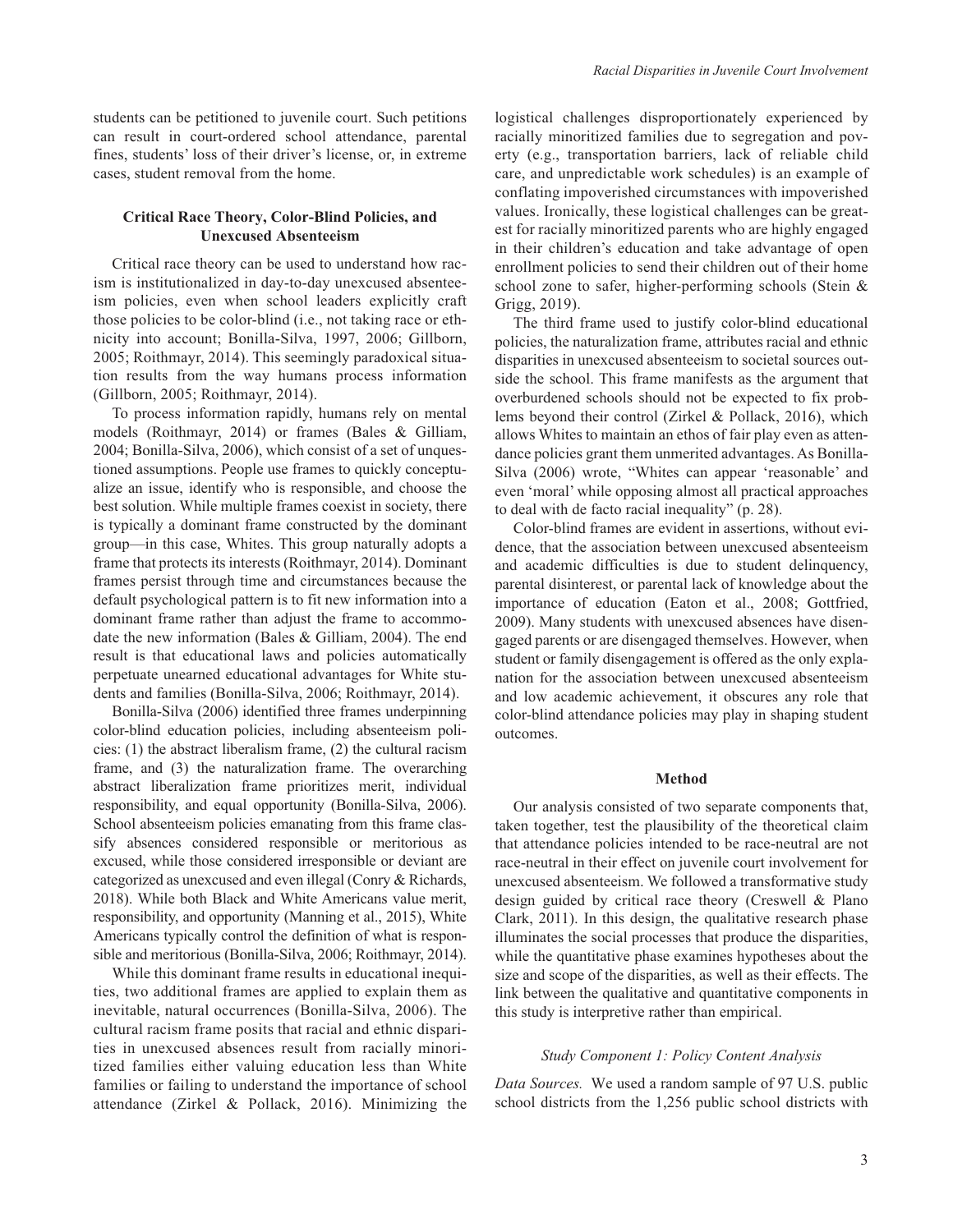students can be petitioned to juvenile court. Such petitions can result in court-ordered school attendance, parental fines, students' loss of their driver's license, or, in extreme cases, student removal from the home.

# **Critical Race Theory, Color-Blind Policies, and Unexcused Absenteeism**

Critical race theory can be used to understand how racism is institutionalized in day-to-day unexcused absenteeism policies, even when school leaders explicitly craft those policies to be color-blind (i.e., not taking race or ethnicity into account; Bonilla-Silva, 1997, 2006; Gillborn, 2005; Roithmayr, 2014). This seemingly paradoxical situation results from the way humans process information (Gillborn, 2005; Roithmayr, 2014).

To process information rapidly, humans rely on mental models (Roithmayr, 2014) or frames (Bales & Gilliam, 2004; Bonilla-Silva, 2006), which consist of a set of unquestioned assumptions. People use frames to quickly conceptualize an issue, identify who is responsible, and choose the best solution. While multiple frames coexist in society, there is typically a dominant frame constructed by the dominant group—in this case, Whites. This group naturally adopts a frame that protects its interests (Roithmayr, 2014). Dominant frames persist through time and circumstances because the default psychological pattern is to fit new information into a dominant frame rather than adjust the frame to accommodate the new information (Bales & Gilliam, 2004). The end result is that educational laws and policies automatically perpetuate unearned educational advantages for White students and families (Bonilla-Silva, 2006; Roithmayr, 2014).

Bonilla-Silva (2006) identified three frames underpinning color-blind education policies, including absenteeism policies: (1) the abstract liberalism frame, (2) the cultural racism frame, and (3) the naturalization frame. The overarching abstract liberalization frame prioritizes merit, individual responsibility, and equal opportunity (Bonilla-Silva, 2006). School absenteeism policies emanating from this frame classify absences considered responsible or meritorious as excused, while those considered irresponsible or deviant are categorized as unexcused and even illegal (Conry & Richards, 2018). While both Black and White Americans value merit, responsibility, and opportunity (Manning et al., 2015), White Americans typically control the definition of what is responsible and meritorious (Bonilla-Silva, 2006; Roithmayr, 2014).

While this dominant frame results in educational inequities, two additional frames are applied to explain them as inevitable, natural occurrences (Bonilla-Silva, 2006). The cultural racism frame posits that racial and ethnic disparities in unexcused absences result from racially minoritized families either valuing education less than White families or failing to understand the importance of school attendance (Zirkel & Pollack, 2016). Minimizing the logistical challenges disproportionately experienced by racially minoritized families due to segregation and poverty (e.g., transportation barriers, lack of reliable child care, and unpredictable work schedules) is an example of conflating impoverished circumstances with impoverished values. Ironically, these logistical challenges can be greatest for racially minoritized parents who are highly engaged in their children's education and take advantage of open enrollment policies to send their children out of their home school zone to safer, higher-performing schools (Stein & Grigg, 2019).

The third frame used to justify color-blind educational policies, the naturalization frame, attributes racial and ethnic disparities in unexcused absenteeism to societal sources outside the school. This frame manifests as the argument that overburdened schools should not be expected to fix problems beyond their control (Zirkel & Pollack, 2016), which allows Whites to maintain an ethos of fair play even as attendance policies grant them unmerited advantages. As Bonilla-Silva (2006) wrote, "Whites can appear 'reasonable' and even 'moral' while opposing almost all practical approaches to deal with de facto racial inequality" (p. 28).

Color-blind frames are evident in assertions, without evidence, that the association between unexcused absenteeism and academic difficulties is due to student delinquency, parental disinterest, or parental lack of knowledge about the importance of education (Eaton et al., 2008; Gottfried, 2009). Many students with unexcused absences have disengaged parents or are disengaged themselves. However, when student or family disengagement is offered as the only explanation for the association between unexcused absenteeism and low academic achievement, it obscures any role that color-blind attendance policies may play in shaping student outcomes.

## **Method**

Our analysis consisted of two separate components that, taken together, test the plausibility of the theoretical claim that attendance policies intended to be race-neutral are not race-neutral in their effect on juvenile court involvement for unexcused absenteeism. We followed a transformative study design guided by critical race theory (Creswell & Plano Clark, 2011). In this design, the qualitative research phase illuminates the social processes that produce the disparities, while the quantitative phase examines hypotheses about the size and scope of the disparities, as well as their effects. The link between the qualitative and quantitative components in this study is interpretive rather than empirical.

# *Study Component 1: Policy Content Analysis*

*Data Sources.* We used a random sample of 97 U.S. public school districts from the 1,256 public school districts with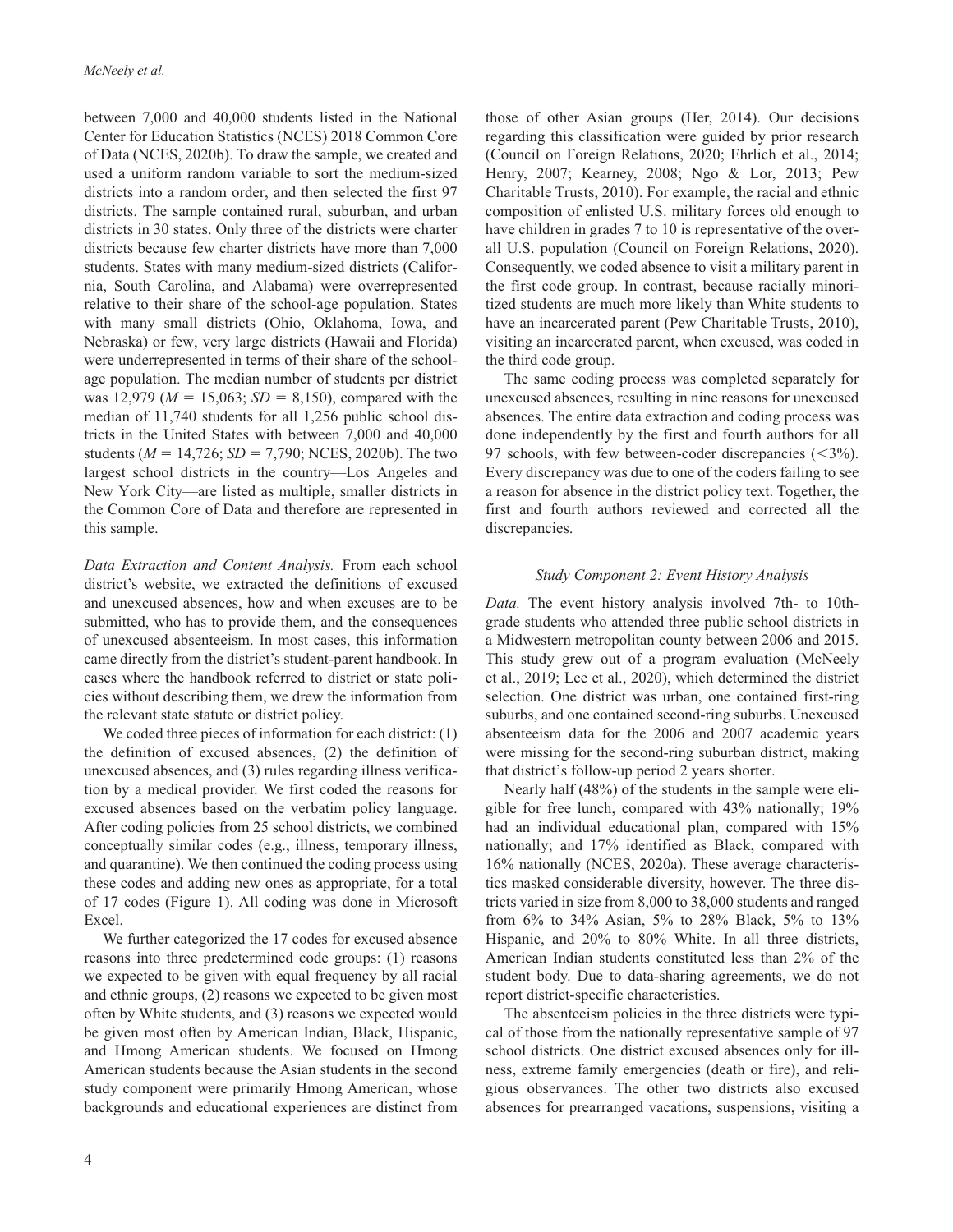between 7,000 and 40,000 students listed in the National Center for Education Statistics (NCES) 2018 Common Core of Data (NCES, 2020b). To draw the sample, we created and used a uniform random variable to sort the medium-sized districts into a random order, and then selected the first 97 districts. The sample contained rural, suburban, and urban districts in 30 states. Only three of the districts were charter districts because few charter districts have more than 7,000 students. States with many medium-sized districts (California, South Carolina, and Alabama) were overrepresented relative to their share of the school-age population. States with many small districts (Ohio, Oklahoma, Iowa, and Nebraska) or few, very large districts (Hawaii and Florida) were underrepresented in terms of their share of the schoolage population. The median number of students per district was 12,979 ( $M = 15,063$ ;  $SD = 8,150$ ), compared with the median of 11,740 students for all 1,256 public school districts in the United States with between 7,000 and 40,000 students (*M* = 14,726; *SD* = 7,790; NCES, 2020b). The two largest school districts in the country—Los Angeles and New York City—are listed as multiple, smaller districts in the Common Core of Data and therefore are represented in this sample.

*Data Extraction and Content Analysis.* From each school district's website, we extracted the definitions of excused and unexcused absences, how and when excuses are to be submitted, who has to provide them, and the consequences of unexcused absenteeism. In most cases, this information came directly from the district's student-parent handbook. In cases where the handbook referred to district or state policies without describing them, we drew the information from the relevant state statute or district policy.

We coded three pieces of information for each district: (1) the definition of excused absences, (2) the definition of unexcused absences, and (3) rules regarding illness verification by a medical provider. We first coded the reasons for excused absences based on the verbatim policy language. After coding policies from 25 school districts, we combined conceptually similar codes (e.g., illness, temporary illness, and quarantine). We then continued the coding process using these codes and adding new ones as appropriate, for a total of 17 codes (Figure 1). All coding was done in Microsoft Excel.

We further categorized the 17 codes for excused absence reasons into three predetermined code groups: (1) reasons we expected to be given with equal frequency by all racial and ethnic groups, (2) reasons we expected to be given most often by White students, and (3) reasons we expected would be given most often by American Indian, Black, Hispanic, and Hmong American students. We focused on Hmong American students because the Asian students in the second study component were primarily Hmong American, whose backgrounds and educational experiences are distinct from those of other Asian groups (Her, 2014). Our decisions regarding this classification were guided by prior research (Council on Foreign Relations, 2020; Ehrlich et al., 2014; Henry, 2007; Kearney, 2008; Ngo & Lor, 2013; Pew Charitable Trusts, 2010). For example, the racial and ethnic composition of enlisted U.S. military forces old enough to have children in grades 7 to 10 is representative of the overall U.S. population (Council on Foreign Relations, 2020). Consequently, we coded absence to visit a military parent in the first code group. In contrast, because racially minoritized students are much more likely than White students to have an incarcerated parent (Pew Charitable Trusts, 2010), visiting an incarcerated parent, when excused, was coded in the third code group.

The same coding process was completed separately for unexcused absences, resulting in nine reasons for unexcused absences. The entire data extraction and coding process was done independently by the first and fourth authors for all 97 schools, with few between-coder discrepancies  $(<3\%)$ . Every discrepancy was due to one of the coders failing to see a reason for absence in the district policy text. Together, the first and fourth authors reviewed and corrected all the discrepancies.

## *Study Component 2: Event History Analysis*

*Data.* The event history analysis involved 7th- to 10thgrade students who attended three public school districts in a Midwestern metropolitan county between 2006 and 2015. This study grew out of a program evaluation (McNeely et al., 2019; Lee et al., 2020), which determined the district selection. One district was urban, one contained first-ring suburbs, and one contained second-ring suburbs. Unexcused absenteeism data for the 2006 and 2007 academic years were missing for the second-ring suburban district, making that district's follow-up period 2 years shorter.

Nearly half (48%) of the students in the sample were eligible for free lunch, compared with 43% nationally; 19% had an individual educational plan, compared with 15% nationally; and 17% identified as Black, compared with 16% nationally (NCES, 2020a). These average characteristics masked considerable diversity, however. The three districts varied in size from 8,000 to 38,000 students and ranged from 6% to 34% Asian, 5% to 28% Black, 5% to 13% Hispanic, and 20% to 80% White. In all three districts, American Indian students constituted less than 2% of the student body. Due to data-sharing agreements, we do not report district-specific characteristics.

The absenteeism policies in the three districts were typical of those from the nationally representative sample of 97 school districts. One district excused absences only for illness, extreme family emergencies (death or fire), and religious observances. The other two districts also excused absences for prearranged vacations, suspensions, visiting a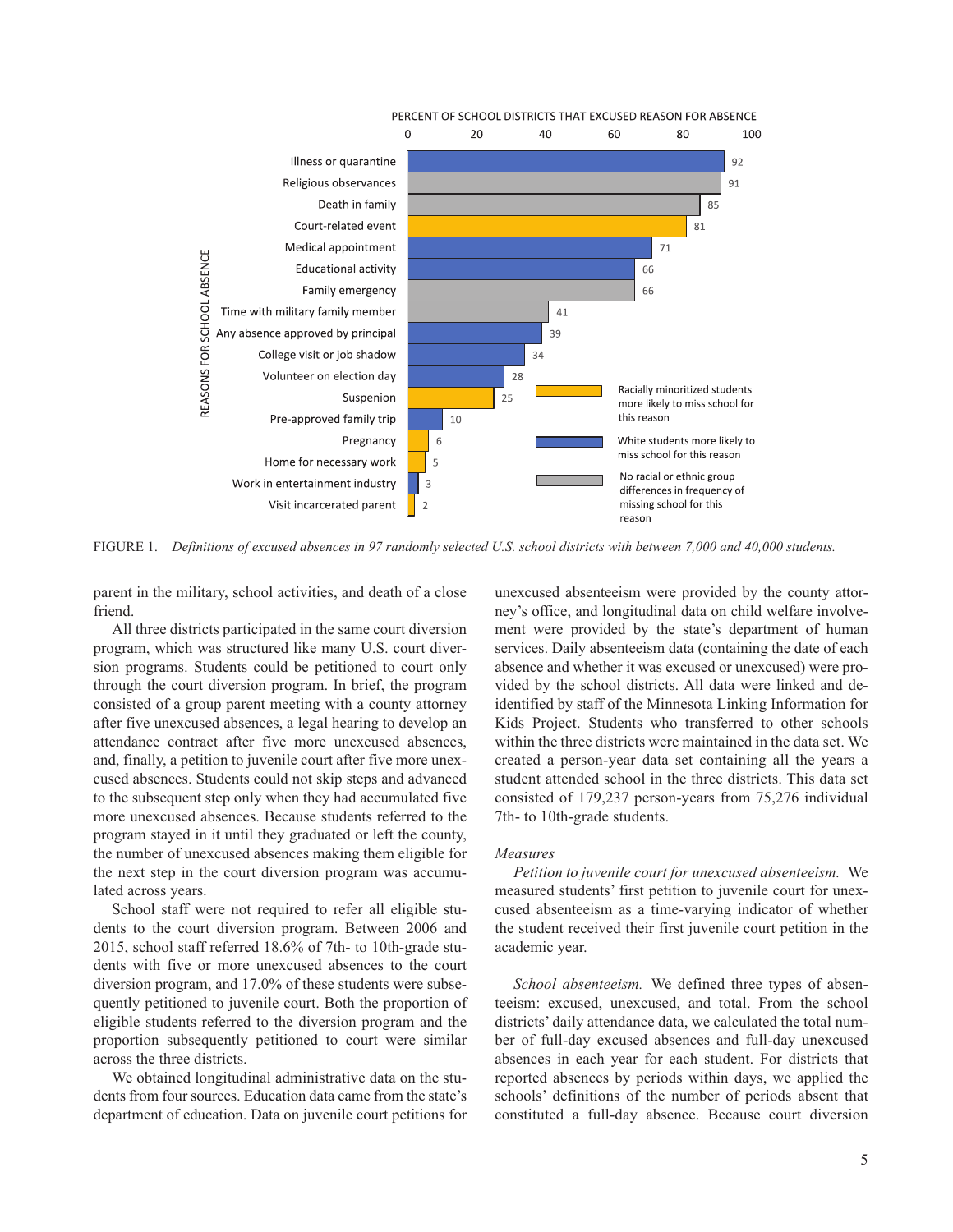

Figure 1. *Definitions of excused absences in 97 randomly selected U.S. school districts with between 7,000 and 40,000 students.*

parent in the military, school activities, and death of a close friend.

All three districts participated in the same court diversion program, which was structured like many U.S. court diversion programs. Students could be petitioned to court only through the court diversion program. In brief, the program consisted of a group parent meeting with a county attorney after five unexcused absences, a legal hearing to develop an attendance contract after five more unexcused absences, and, finally, a petition to juvenile court after five more unexcused absences. Students could not skip steps and advanced to the subsequent step only when they had accumulated five more unexcused absences. Because students referred to the program stayed in it until they graduated or left the county, the number of unexcused absences making them eligible for the next step in the court diversion program was accumulated across years.

School staff were not required to refer all eligible students to the court diversion program. Between 2006 and 2015, school staff referred 18.6% of 7th- to 10th-grade students with five or more unexcused absences to the court diversion program, and 17.0% of these students were subsequently petitioned to juvenile court. Both the proportion of eligible students referred to the diversion program and the proportion subsequently petitioned to court were similar across the three districts.

We obtained longitudinal administrative data on the students from four sources. Education data came from the state's department of education. Data on juvenile court petitions for

unexcused absenteeism were provided by the county attorney's office, and longitudinal data on child welfare involvement were provided by the state's department of human services. Daily absenteeism data (containing the date of each absence and whether it was excused or unexcused) were provided by the school districts. All data were linked and deidentified by staff of the Minnesota Linking Information for Kids Project. Students who transferred to other schools within the three districts were maintained in the data set. We created a person-year data set containing all the years a student attended school in the three districts. This data set consisted of 179,237 person-years from 75,276 individual 7th- to 10th-grade students.

## *Measures*

*Petition to juvenile court for unexcused absenteeism.* We measured students' first petition to juvenile court for unexcused absenteeism as a time-varying indicator of whether the student received their first juvenile court petition in the academic year.

*School absenteeism.* We defined three types of absenteeism: excused, unexcused, and total. From the school districts' daily attendance data, we calculated the total number of full-day excused absences and full-day unexcused absences in each year for each student. For districts that reported absences by periods within days, we applied the schools' definitions of the number of periods absent that constituted a full-day absence. Because court diversion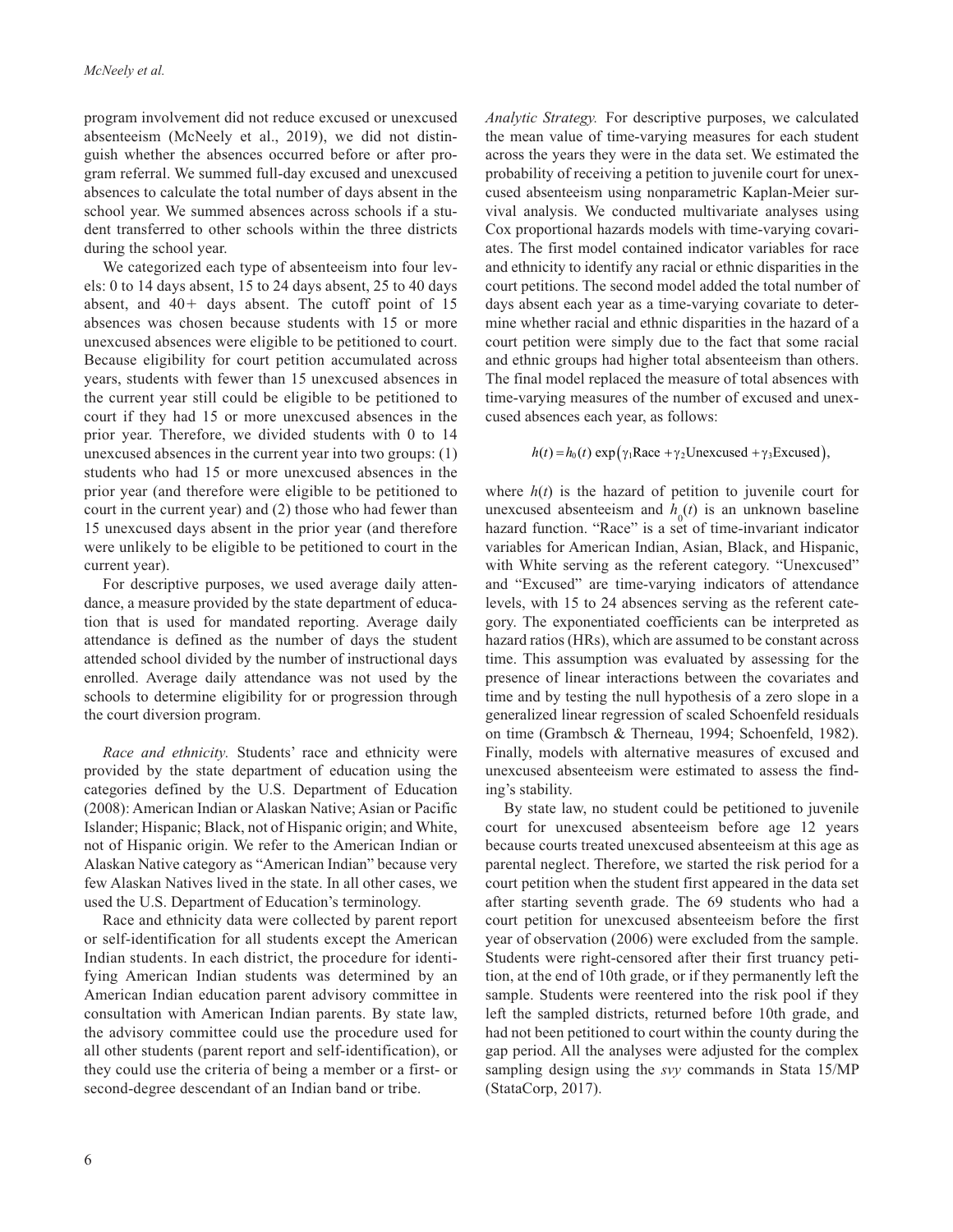program involvement did not reduce excused or unexcused absenteeism (McNeely et al., 2019), we did not distinguish whether the absences occurred before or after program referral. We summed full-day excused and unexcused absences to calculate the total number of days absent in the school year. We summed absences across schools if a student transferred to other schools within the three districts during the school year.

We categorized each type of absenteeism into four levels: 0 to 14 days absent, 15 to 24 days absent, 25 to 40 days absent, and 40+ days absent. The cutoff point of 15 absences was chosen because students with 15 or more unexcused absences were eligible to be petitioned to court. Because eligibility for court petition accumulated across years, students with fewer than 15 unexcused absences in the current year still could be eligible to be petitioned to court if they had 15 or more unexcused absences in the prior year. Therefore, we divided students with 0 to 14 unexcused absences in the current year into two groups: (1) students who had 15 or more unexcused absences in the prior year (and therefore were eligible to be petitioned to court in the current year) and (2) those who had fewer than 15 unexcused days absent in the prior year (and therefore were unlikely to be eligible to be petitioned to court in the current year).

For descriptive purposes, we used average daily attendance, a measure provided by the state department of education that is used for mandated reporting. Average daily attendance is defined as the number of days the student attended school divided by the number of instructional days enrolled. Average daily attendance was not used by the schools to determine eligibility for or progression through the court diversion program.

*Race and ethnicity.* Students' race and ethnicity were provided by the state department of education using the categories defined by the U.S. Department of Education (2008): American Indian or Alaskan Native; Asian or Pacific Islander; Hispanic; Black, not of Hispanic origin; and White, not of Hispanic origin. We refer to the American Indian or Alaskan Native category as "American Indian" because very few Alaskan Natives lived in the state. In all other cases, we used the U.S. Department of Education's terminology.

Race and ethnicity data were collected by parent report or self-identification for all students except the American Indian students. In each district, the procedure for identifying American Indian students was determined by an American Indian education parent advisory committee in consultation with American Indian parents. By state law, the advisory committee could use the procedure used for all other students (parent report and self-identification), or they could use the criteria of being a member or a first- or second-degree descendant of an Indian band or tribe.

*Analytic Strategy.* For descriptive purposes, we calculated the mean value of time-varying measures for each student across the years they were in the data set. We estimated the probability of receiving a petition to juvenile court for unexcused absenteeism using nonparametric Kaplan-Meier survival analysis. We conducted multivariate analyses using Cox proportional hazards models with time-varying covariates. The first model contained indicator variables for race and ethnicity to identify any racial or ethnic disparities in the court petitions. The second model added the total number of days absent each year as a time-varying covariate to determine whether racial and ethnic disparities in the hazard of a court petition were simply due to the fact that some racial and ethnic groups had higher total absenteeism than others. The final model replaced the measure of total absences with time-varying measures of the number of excused and unexcused absences each year, as follows:

# $h(t) = h_0(t) \exp(\gamma_1 \text{Race} + \gamma_2 \text{Unexcused} + \gamma_3 \text{Excused}),$

where  $h(t)$  is the hazard of petition to juvenile court for unexcused absenteeism and  $h_0(t)$  is an unknown baseline hazard function. "Race" is a set of time-invariant indicator variables for American Indian, Asian, Black, and Hispanic, with White serving as the referent category. "Unexcused" and "Excused" are time-varying indicators of attendance levels, with 15 to 24 absences serving as the referent category. The exponentiated coefficients can be interpreted as hazard ratios (HRs), which are assumed to be constant across time. This assumption was evaluated by assessing for the presence of linear interactions between the covariates and time and by testing the null hypothesis of a zero slope in a generalized linear regression of scaled Schoenfeld residuals on time (Grambsch & Therneau, 1994; Schoenfeld, 1982). Finally, models with alternative measures of excused and unexcused absenteeism were estimated to assess the finding's stability.

By state law, no student could be petitioned to juvenile court for unexcused absenteeism before age 12 years because courts treated unexcused absenteeism at this age as parental neglect. Therefore, we started the risk period for a court petition when the student first appeared in the data set after starting seventh grade. The 69 students who had a court petition for unexcused absenteeism before the first year of observation (2006) were excluded from the sample. Students were right-censored after their first truancy petition, at the end of 10th grade, or if they permanently left the sample. Students were reentered into the risk pool if they left the sampled districts, returned before 10th grade, and had not been petitioned to court within the county during the gap period. All the analyses were adjusted for the complex sampling design using the *svy* commands in Stata 15/MP (StataCorp, 2017).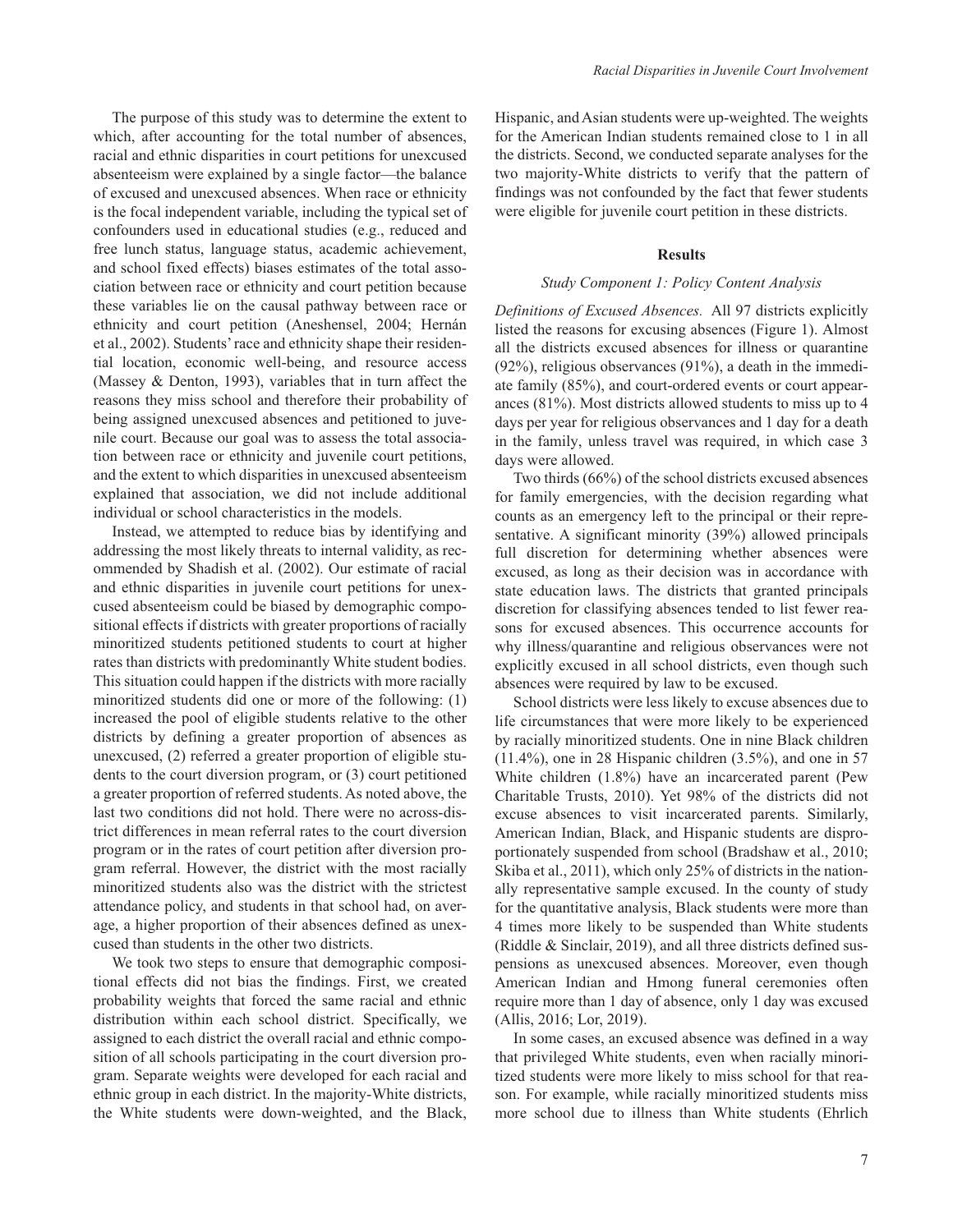The purpose of this study was to determine the extent to which, after accounting for the total number of absences, racial and ethnic disparities in court petitions for unexcused absenteeism were explained by a single factor—the balance of excused and unexcused absences. When race or ethnicity is the focal independent variable, including the typical set of confounders used in educational studies (e.g., reduced and free lunch status, language status, academic achievement, and school fixed effects) biases estimates of the total association between race or ethnicity and court petition because these variables lie on the causal pathway between race or ethnicity and court petition (Aneshensel, 2004; Hernán et al., 2002). Students' race and ethnicity shape their residential location, economic well-being, and resource access (Massey & Denton, 1993), variables that in turn affect the reasons they miss school and therefore their probability of being assigned unexcused absences and petitioned to juvenile court. Because our goal was to assess the total association between race or ethnicity and juvenile court petitions, and the extent to which disparities in unexcused absenteeism explained that association, we did not include additional individual or school characteristics in the models.

Instead, we attempted to reduce bias by identifying and addressing the most likely threats to internal validity, as recommended by Shadish et al. (2002). Our estimate of racial and ethnic disparities in juvenile court petitions for unexcused absenteeism could be biased by demographic compositional effects if districts with greater proportions of racially minoritized students petitioned students to court at higher rates than districts with predominantly White student bodies. This situation could happen if the districts with more racially minoritized students did one or more of the following: (1) increased the pool of eligible students relative to the other districts by defining a greater proportion of absences as unexcused, (2) referred a greater proportion of eligible students to the court diversion program, or (3) court petitioned a greater proportion of referred students. As noted above, the last two conditions did not hold. There were no across-district differences in mean referral rates to the court diversion program or in the rates of court petition after diversion program referral. However, the district with the most racially minoritized students also was the district with the strictest attendance policy, and students in that school had, on average, a higher proportion of their absences defined as unexcused than students in the other two districts.

We took two steps to ensure that demographic compositional effects did not bias the findings. First, we created probability weights that forced the same racial and ethnic distribution within each school district. Specifically, we assigned to each district the overall racial and ethnic composition of all schools participating in the court diversion program. Separate weights were developed for each racial and ethnic group in each district. In the majority-White districts, the White students were down-weighted, and the Black,

Hispanic, and Asian students were up-weighted. The weights for the American Indian students remained close to 1 in all the districts. Second, we conducted separate analyses for the two majority-White districts to verify that the pattern of findings was not confounded by the fact that fewer students were eligible for juvenile court petition in these districts.

## **Results**

#### *Study Component 1: Policy Content Analysis*

*Definitions of Excused Absences.* All 97 districts explicitly listed the reasons for excusing absences (Figure 1). Almost all the districts excused absences for illness or quarantine (92%), religious observances (91%), a death in the immediate family (85%), and court-ordered events or court appearances (81%). Most districts allowed students to miss up to 4 days per year for religious observances and 1 day for a death in the family, unless travel was required, in which case 3 days were allowed.

Two thirds (66%) of the school districts excused absences for family emergencies, with the decision regarding what counts as an emergency left to the principal or their representative. A significant minority (39%) allowed principals full discretion for determining whether absences were excused, as long as their decision was in accordance with state education laws. The districts that granted principals discretion for classifying absences tended to list fewer reasons for excused absences. This occurrence accounts for why illness/quarantine and religious observances were not explicitly excused in all school districts, even though such absences were required by law to be excused.

School districts were less likely to excuse absences due to life circumstances that were more likely to be experienced by racially minoritized students. One in nine Black children  $(11.4\%)$ , one in 28 Hispanic children  $(3.5\%)$ , and one in 57 White children (1.8%) have an incarcerated parent (Pew Charitable Trusts, 2010). Yet 98% of the districts did not excuse absences to visit incarcerated parents. Similarly, American Indian, Black, and Hispanic students are disproportionately suspended from school (Bradshaw et al., 2010; Skiba et al., 2011), which only 25% of districts in the nationally representative sample excused. In the county of study for the quantitative analysis, Black students were more than 4 times more likely to be suspended than White students (Riddle & Sinclair, 2019), and all three districts defined suspensions as unexcused absences. Moreover, even though American Indian and Hmong funeral ceremonies often require more than 1 day of absence, only 1 day was excused (Allis, 2016; Lor, 2019).

In some cases, an excused absence was defined in a way that privileged White students, even when racially minoritized students were more likely to miss school for that reason. For example, while racially minoritized students miss more school due to illness than White students (Ehrlich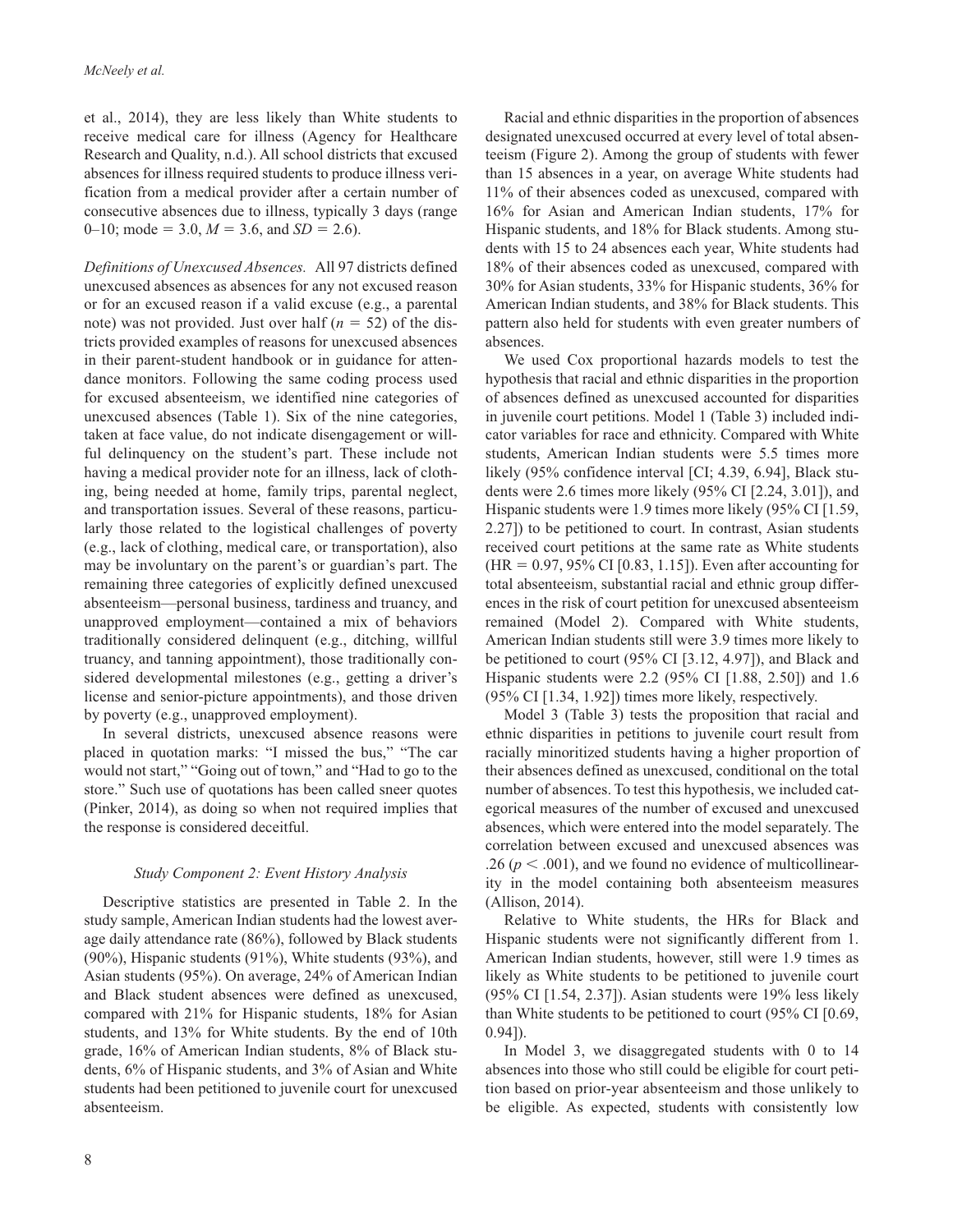et al., 2014), they are less likely than White students to receive medical care for illness (Agency for Healthcare Research and Quality, n.d.). All school districts that excused absences for illness required students to produce illness verification from a medical provider after a certain number of consecutive absences due to illness, typically 3 days (range 0–10; mode = 3.0,  $M = 3.6$ , and  $SD = 2.6$ ).

*Definitions of Unexcused Absences.* All 97 districts defined unexcused absences as absences for any not excused reason or for an excused reason if a valid excuse (e.g., a parental note) was not provided. Just over half (*n* = 52) of the districts provided examples of reasons for unexcused absences in their parent-student handbook or in guidance for attendance monitors. Following the same coding process used for excused absenteeism, we identified nine categories of unexcused absences (Table 1). Six of the nine categories, taken at face value, do not indicate disengagement or willful delinquency on the student's part. These include not having a medical provider note for an illness, lack of clothing, being needed at home, family trips, parental neglect, and transportation issues. Several of these reasons, particularly those related to the logistical challenges of poverty (e.g., lack of clothing, medical care, or transportation), also may be involuntary on the parent's or guardian's part. The remaining three categories of explicitly defined unexcused absenteeism—personal business, tardiness and truancy, and unapproved employment—contained a mix of behaviors traditionally considered delinquent (e.g., ditching, willful truancy, and tanning appointment), those traditionally considered developmental milestones (e.g., getting a driver's license and senior-picture appointments), and those driven by poverty (e.g., unapproved employment).

In several districts, unexcused absence reasons were placed in quotation marks: "I missed the bus," "The car would not start," "Going out of town," and "Had to go to the store." Such use of quotations has been called sneer quotes (Pinker, 2014), as doing so when not required implies that the response is considered deceitful.

# *Study Component 2: Event History Analysis*

Descriptive statistics are presented in Table 2. In the study sample, American Indian students had the lowest average daily attendance rate (86%), followed by Black students (90%), Hispanic students (91%), White students (93%), and Asian students (95%). On average, 24% of American Indian and Black student absences were defined as unexcused, compared with 21% for Hispanic students, 18% for Asian students, and 13% for White students. By the end of 10th grade, 16% of American Indian students, 8% of Black students, 6% of Hispanic students, and 3% of Asian and White students had been petitioned to juvenile court for unexcused absenteeism.

Racial and ethnic disparities in the proportion of absences designated unexcused occurred at every level of total absenteeism (Figure 2). Among the group of students with fewer than 15 absences in a year, on average White students had 11% of their absences coded as unexcused, compared with 16% for Asian and American Indian students, 17% for Hispanic students, and 18% for Black students. Among students with 15 to 24 absences each year, White students had 18% of their absences coded as unexcused, compared with 30% for Asian students, 33% for Hispanic students, 36% for American Indian students, and 38% for Black students. This pattern also held for students with even greater numbers of absences.

We used Cox proportional hazards models to test the hypothesis that racial and ethnic disparities in the proportion of absences defined as unexcused accounted for disparities in juvenile court petitions. Model 1 (Table 3) included indicator variables for race and ethnicity. Compared with White students, American Indian students were 5.5 times more likely (95% confidence interval [CI; 4.39, 6.94], Black students were 2.6 times more likely (95% CI [2.24, 3.01]), and Hispanic students were 1.9 times more likely (95% CI [1.59, 2.27]) to be petitioned to court. In contrast, Asian students received court petitions at the same rate as White students  $(HR = 0.97, 95\% \text{ CI} [0.83, 1.15])$ . Even after accounting for total absenteeism, substantial racial and ethnic group differences in the risk of court petition for unexcused absenteeism remained (Model 2). Compared with White students, American Indian students still were 3.9 times more likely to be petitioned to court (95% CI [3.12, 4.97]), and Black and Hispanic students were 2.2 (95% CI [1.88, 2.50]) and 1.6 (95% CI [1.34, 1.92]) times more likely, respectively.

Model 3 (Table 3) tests the proposition that racial and ethnic disparities in petitions to juvenile court result from racially minoritized students having a higher proportion of their absences defined as unexcused, conditional on the total number of absences. To test this hypothesis, we included categorical measures of the number of excused and unexcused absences, which were entered into the model separately. The correlation between excused and unexcused absences was .26 ( $p < .001$ ), and we found no evidence of multicollinearity in the model containing both absenteeism measures (Allison, 2014).

Relative to White students, the HRs for Black and Hispanic students were not significantly different from 1. American Indian students, however, still were 1.9 times as likely as White students to be petitioned to juvenile court (95% CI [1.54, 2.37]). Asian students were 19% less likely than White students to be petitioned to court (95% CI [0.69, 0.94]).

In Model 3, we disaggregated students with 0 to 14 absences into those who still could be eligible for court petition based on prior-year absenteeism and those unlikely to be eligible. As expected, students with consistently low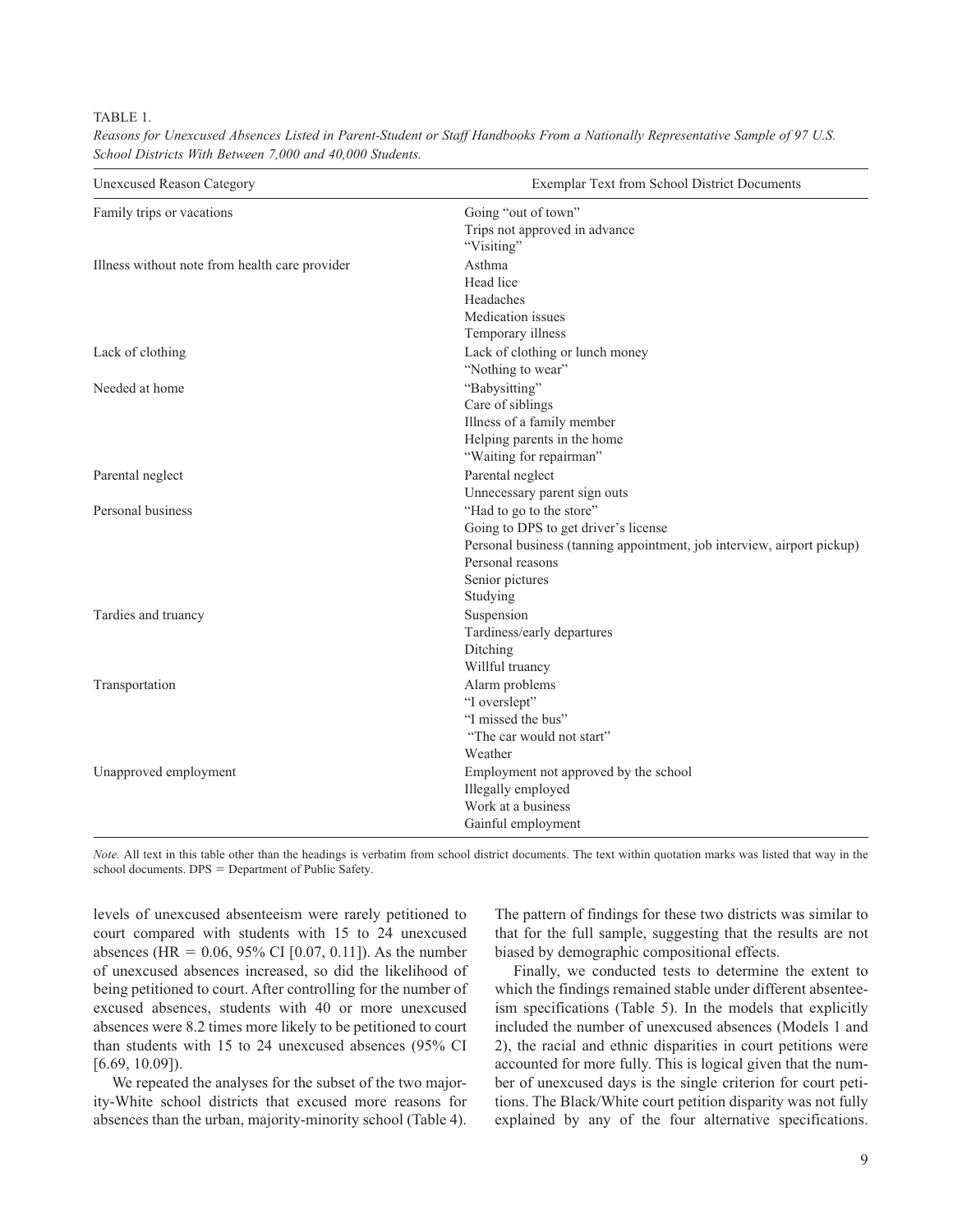## TABLE 1.

| <b>Unexcused Reason Category</b>               | Exemplar Text from School District Documents                           |  |  |  |  |
|------------------------------------------------|------------------------------------------------------------------------|--|--|--|--|
| Family trips or vacations                      | Going "out of town"                                                    |  |  |  |  |
|                                                | Trips not approved in advance                                          |  |  |  |  |
|                                                | "Visiting"                                                             |  |  |  |  |
| Illness without note from health care provider | Asthma                                                                 |  |  |  |  |
|                                                | Head lice                                                              |  |  |  |  |
|                                                | Headaches                                                              |  |  |  |  |
|                                                | Medication issues                                                      |  |  |  |  |
|                                                | Temporary illness                                                      |  |  |  |  |
| Lack of clothing                               | Lack of clothing or lunch money                                        |  |  |  |  |
|                                                | "Nothing to wear"                                                      |  |  |  |  |
| Needed at home                                 | "Babysitting"                                                          |  |  |  |  |
|                                                | Care of siblings                                                       |  |  |  |  |
|                                                | Illness of a family member                                             |  |  |  |  |
|                                                | Helping parents in the home                                            |  |  |  |  |
|                                                | "Waiting for repairman"                                                |  |  |  |  |
| Parental neglect                               | Parental neglect                                                       |  |  |  |  |
|                                                | Unnecessary parent sign outs                                           |  |  |  |  |
| Personal business                              | "Had to go to the store"                                               |  |  |  |  |
|                                                | Going to DPS to get driver's license                                   |  |  |  |  |
|                                                | Personal business (tanning appointment, job interview, airport pickup) |  |  |  |  |
|                                                | Personal reasons                                                       |  |  |  |  |
|                                                | Senior pictures                                                        |  |  |  |  |
|                                                | Studying                                                               |  |  |  |  |
| Tardies and truancy                            | Suspension                                                             |  |  |  |  |
|                                                | Tardiness/early departures                                             |  |  |  |  |
|                                                | Ditching                                                               |  |  |  |  |
|                                                | Willful truancy                                                        |  |  |  |  |
| Transportation                                 | Alarm problems                                                         |  |  |  |  |
|                                                | "I overslept"                                                          |  |  |  |  |
|                                                | "I missed the bus"                                                     |  |  |  |  |
|                                                | "The car would not start"                                              |  |  |  |  |
|                                                | Weather                                                                |  |  |  |  |
| Unapproved employment                          | Employment not approved by the school                                  |  |  |  |  |
|                                                | Illegally employed                                                     |  |  |  |  |
|                                                | Work at a business                                                     |  |  |  |  |
|                                                | Gainful employment                                                     |  |  |  |  |
|                                                |                                                                        |  |  |  |  |

*Reasons for Unexcused Absences Listed in Parent-Student or Staff Handbooks From a Nationally Representative Sample of 97 U.S. School Districts With Between 7,000 and 40,000 Students.*

*Note.* All text in this table other than the headings is verbatim from school district documents. The text within quotation marks was listed that way in the school documents. DPS = Department of Public Safety.

levels of unexcused absenteeism were rarely petitioned to court compared with students with 15 to 24 unexcused absences (HR =  $0.06$ ,  $95\%$  CI [0.07, 0.11]). As the number of unexcused absences increased, so did the likelihood of being petitioned to court. After controlling for the number of excused absences, students with 40 or more unexcused absences were 8.2 times more likely to be petitioned to court than students with 15 to 24 unexcused absences (95% CI [6.69, 10.09]).

We repeated the analyses for the subset of the two majority-White school districts that excused more reasons for absences than the urban, majority-minority school (Table 4). The pattern of findings for these two districts was similar to that for the full sample, suggesting that the results are not biased by demographic compositional effects.

Finally, we conducted tests to determine the extent to which the findings remained stable under different absenteeism specifications (Table 5). In the models that explicitly included the number of unexcused absences (Models 1 and 2), the racial and ethnic disparities in court petitions were accounted for more fully. This is logical given that the number of unexcused days is the single criterion for court petitions. The Black/White court petition disparity was not fully explained by any of the four alternative specifications.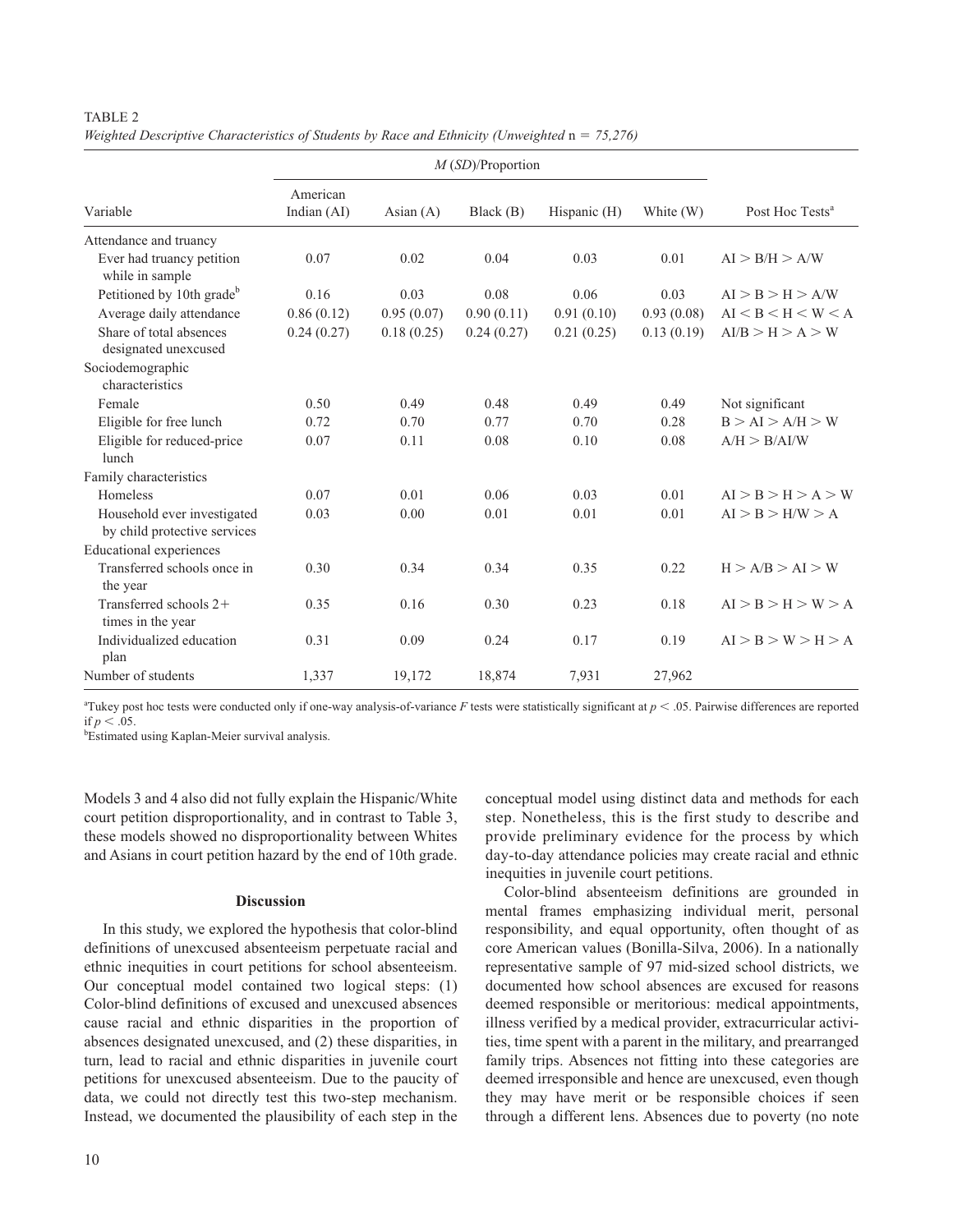# TABLE 2

*Weighted Descriptive Characteristics of Students by Race and Ethnicity (Unweighted n = 75,276)* 

| Variable                                                    | American<br>Indian (AI) | Asian $(A)$ | Black(B)   | Hispanic (H) | White (W)  | Post Hoc Tests <sup>a</sup> |
|-------------------------------------------------------------|-------------------------|-------------|------------|--------------|------------|-----------------------------|
| Attendance and truancy                                      |                         |             |            |              |            |                             |
| Ever had truancy petition<br>while in sample                | 0.07                    | 0.02        | 0.04       | 0.03         | 0.01       | AI > B/H > A/W              |
| Petitioned by 10th grade <sup>b</sup>                       | 0.16                    | 0.03        | 0.08       | 0.06         | 0.03       | AI > B > H > A/W            |
| Average daily attendance                                    | 0.86(0.12)              | 0.95(0.07)  | 0.90(0.11) | 0.91(0.10)   | 0.93(0.08) | AI < B < H < W < A          |
| Share of total absences<br>designated unexcused             | 0.24(0.27)              | 0.18(0.25)  | 0.24(0.27) | 0.21(0.25)   | 0.13(0.19) | AI/B > H > A > W            |
| Sociodemographic<br>characteristics                         |                         |             |            |              |            |                             |
| Female                                                      | 0.50                    | 0.49        | 0.48       | 0.49         | 0.49       | Not significant             |
| Eligible for free lunch                                     | 0.72                    | 0.70        | 0.77       | 0.70         | 0.28       | B > AI > A/H > W            |
| Eligible for reduced-price<br>lunch                         | 0.07                    | 0.11        | 0.08       | 0.10         | 0.08       | A/H > B/AI/W                |
| Family characteristics                                      |                         |             |            |              |            |                             |
| Homeless                                                    | 0.07                    | 0.01        | 0.06       | 0.03         | 0.01       | AI > B > H > A > W          |
| Household ever investigated<br>by child protective services | 0.03                    | 0.00        | 0.01       | 0.01         | 0.01       | AI > B > H/W > A            |
| <b>Educational experiences</b>                              |                         |             |            |              |            |                             |
| Transferred schools once in<br>the year                     | 0.30                    | 0.34        | 0.34       | 0.35         | 0.22       | H > A/B > AI > W            |
| Transferred schools $2+$<br>times in the year               | 0.35                    | 0.16        | 0.30       | 0.23         | 0.18       | AI > B > H > W > A          |
| Individualized education<br>plan                            | 0.31                    | 0.09        | 0.24       | 0.17         | 0.19       | AI > B > W > H > A          |
| Number of students                                          | 1,337                   | 19,172      | 18,874     | 7,931        | 27,962     |                             |

<sup>a</sup>Tukey post hoc tests were conducted only if one-way analysis-of-variance  $F$  tests were statistically significant at  $p < .05$ . Pairwise differences are reported if  $p < .05$ .

Estimated using Kaplan-Meier survival analysis.

Models 3 and 4 also did not fully explain the Hispanic/White court petition disproportionality, and in contrast to Table 3, these models showed no disproportionality between Whites and Asians in court petition hazard by the end of 10th grade.

# **Discussion**

In this study, we explored the hypothesis that color-blind definitions of unexcused absenteeism perpetuate racial and ethnic inequities in court petitions for school absenteeism. Our conceptual model contained two logical steps: (1) Color-blind definitions of excused and unexcused absences cause racial and ethnic disparities in the proportion of absences designated unexcused, and (2) these disparities, in turn, lead to racial and ethnic disparities in juvenile court petitions for unexcused absenteeism. Due to the paucity of data, we could not directly test this two-step mechanism. Instead, we documented the plausibility of each step in the

conceptual model using distinct data and methods for each step. Nonetheless, this is the first study to describe and provide preliminary evidence for the process by which day-to-day attendance policies may create racial and ethnic inequities in juvenile court petitions.

Color-blind absenteeism definitions are grounded in mental frames emphasizing individual merit, personal responsibility, and equal opportunity, often thought of as core American values (Bonilla-Silva, 2006). In a nationally representative sample of 97 mid-sized school districts, we documented how school absences are excused for reasons deemed responsible or meritorious: medical appointments, illness verified by a medical provider, extracurricular activities, time spent with a parent in the military, and prearranged family trips. Absences not fitting into these categories are deemed irresponsible and hence are unexcused, even though they may have merit or be responsible choices if seen through a different lens. Absences due to poverty (no note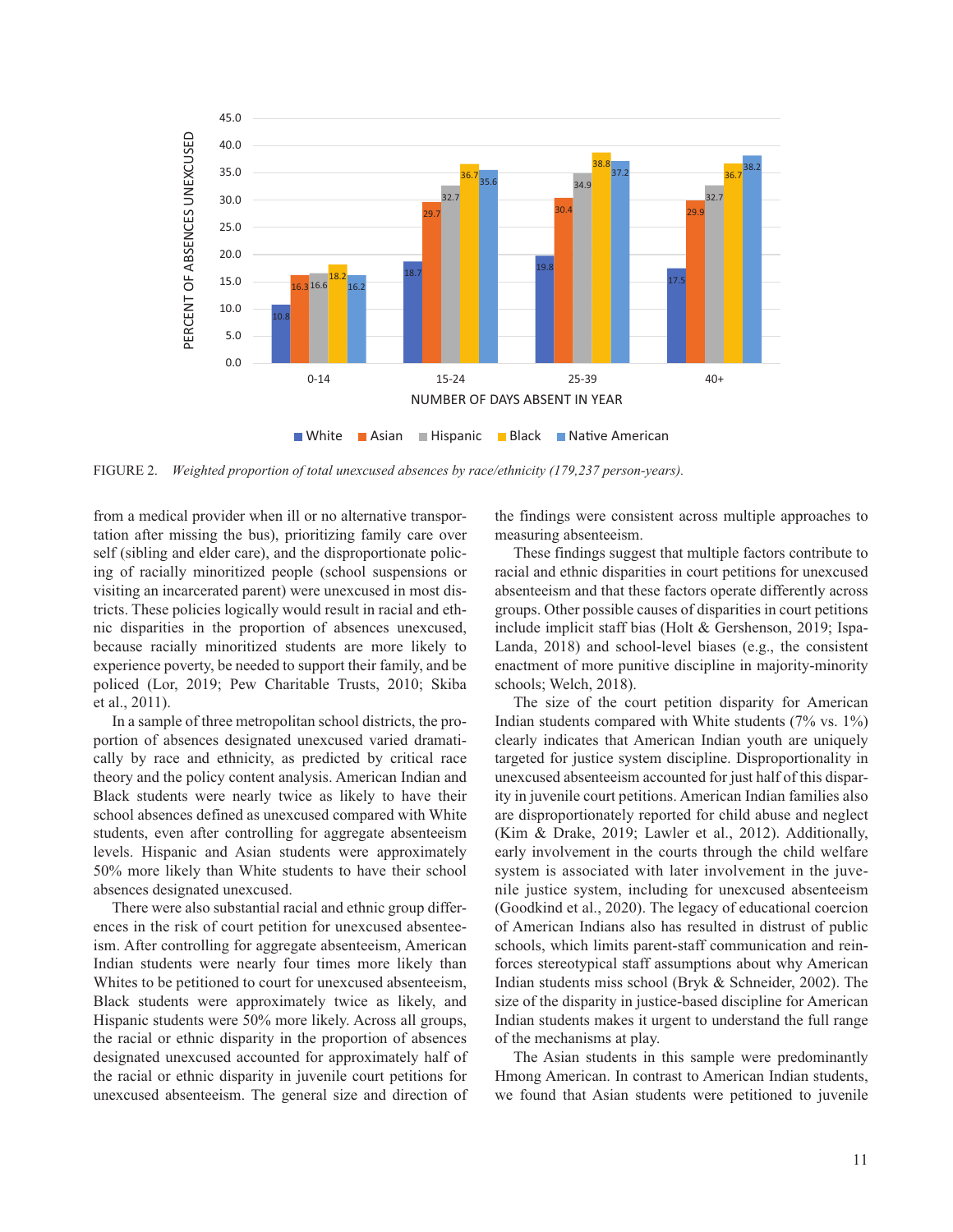

Figure 2. *Weighted proportion of total unexcused absences by race/ethnicity (179,237 person-years).*

from a medical provider when ill or no alternative transportation after missing the bus), prioritizing family care over self (sibling and elder care), and the disproportionate policing of racially minoritized people (school suspensions or visiting an incarcerated parent) were unexcused in most districts. These policies logically would result in racial and ethnic disparities in the proportion of absences unexcused, because racially minoritized students are more likely to experience poverty, be needed to support their family, and be policed (Lor, 2019; Pew Charitable Trusts, 2010; Skiba et al., 2011).

In a sample of three metropolitan school districts, the proportion of absences designated unexcused varied dramatically by race and ethnicity, as predicted by critical race theory and the policy content analysis. American Indian and Black students were nearly twice as likely to have their school absences defined as unexcused compared with White students, even after controlling for aggregate absenteeism levels. Hispanic and Asian students were approximately 50% more likely than White students to have their school absences designated unexcused.

There were also substantial racial and ethnic group differences in the risk of court petition for unexcused absenteeism. After controlling for aggregate absenteeism, American Indian students were nearly four times more likely than Whites to be petitioned to court for unexcused absenteeism, Black students were approximately twice as likely, and Hispanic students were 50% more likely. Across all groups, the racial or ethnic disparity in the proportion of absences designated unexcused accounted for approximately half of the racial or ethnic disparity in juvenile court petitions for unexcused absenteeism. The general size and direction of the findings were consistent across multiple approaches to measuring absenteeism.

These findings suggest that multiple factors contribute to racial and ethnic disparities in court petitions for unexcused absenteeism and that these factors operate differently across groups. Other possible causes of disparities in court petitions include implicit staff bias (Holt & Gershenson, 2019; Ispa-Landa, 2018) and school-level biases (e.g., the consistent enactment of more punitive discipline in majority-minority schools; Welch, 2018).

The size of the court petition disparity for American Indian students compared with White students (7% vs. 1%) clearly indicates that American Indian youth are uniquely targeted for justice system discipline. Disproportionality in unexcused absenteeism accounted for just half of this disparity in juvenile court petitions. American Indian families also are disproportionately reported for child abuse and neglect (Kim & Drake, 2019; Lawler et al., 2012). Additionally, early involvement in the courts through the child welfare system is associated with later involvement in the juvenile justice system, including for unexcused absenteeism (Goodkind et al., 2020). The legacy of educational coercion of American Indians also has resulted in distrust of public schools, which limits parent-staff communication and reinforces stereotypical staff assumptions about why American Indian students miss school (Bryk & Schneider, 2002). The size of the disparity in justice-based discipline for American Indian students makes it urgent to understand the full range of the mechanisms at play.

The Asian students in this sample were predominantly Hmong American. In contrast to American Indian students, we found that Asian students were petitioned to juvenile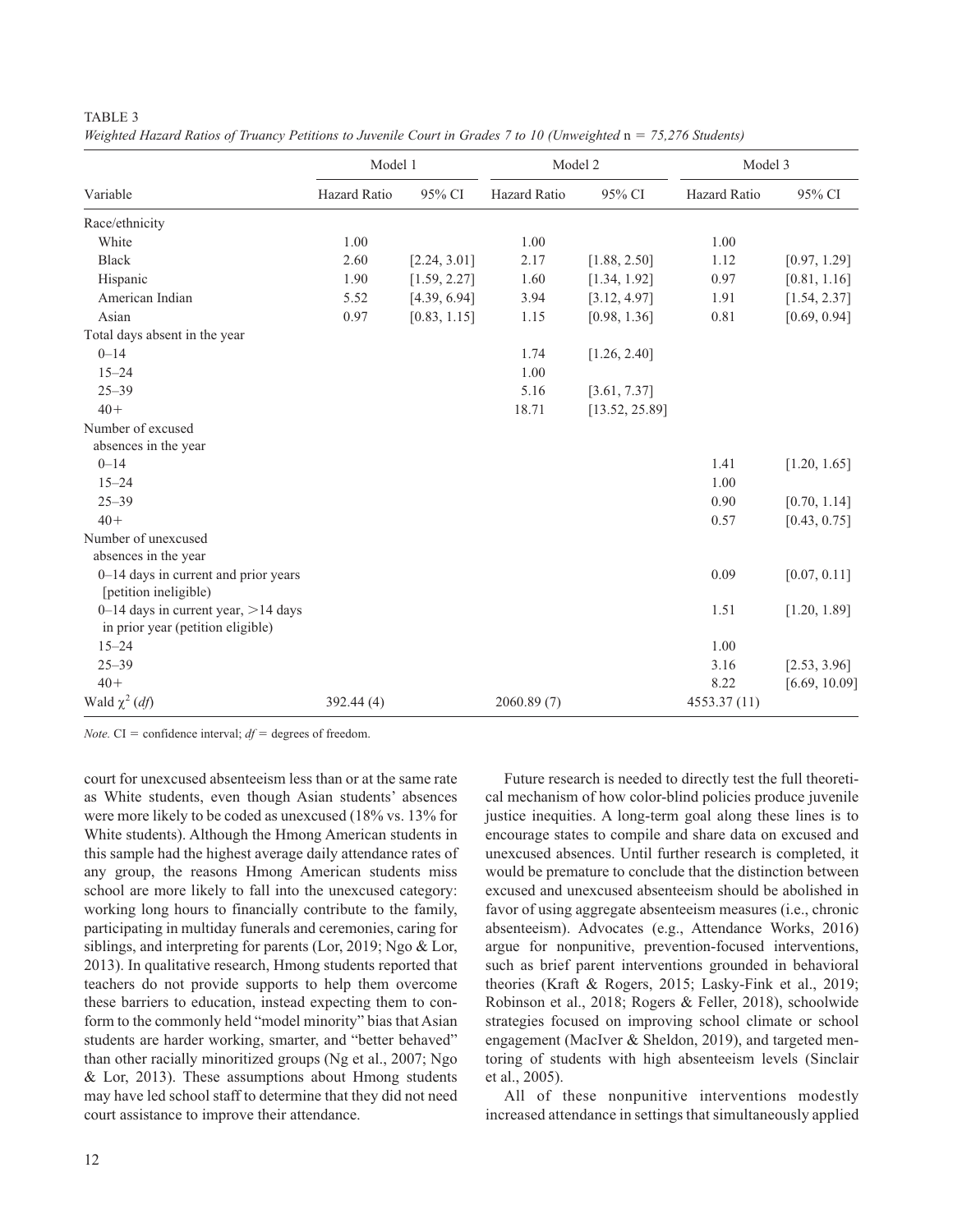|--|--|

*Weighted Hazard Ratios of Truancy Petitions to Juvenile Court in Grades 7 to 10 (Unweighted n = 75,276 Students)* 

|                                                                             | Model 1             |              |                     | Model 2        | Model 3      |               |
|-----------------------------------------------------------------------------|---------------------|--------------|---------------------|----------------|--------------|---------------|
| Variable                                                                    | <b>Hazard Ratio</b> | 95% CI       | <b>Hazard Ratio</b> | 95% CI         | Hazard Ratio | 95% CI        |
| Race/ethnicity                                                              |                     |              |                     |                |              |               |
| White                                                                       | 1.00                |              | 1.00                |                | 1.00         |               |
| <b>Black</b>                                                                | 2.60                | [2.24, 3.01] | 2.17                | [1.88, 2.50]   | 1.12         | [0.97, 1.29]  |
| Hispanic                                                                    | 1.90                | [1.59, 2.27] | 1.60                | [1.34, 1.92]   | 0.97         | [0.81, 1.16]  |
| American Indian                                                             | 5.52                | [4.39, 6.94] | 3.94                | [3.12, 4.97]   | 1.91         | [1.54, 2.37]  |
| Asian                                                                       | 0.97                | [0.83, 1.15] | 1.15                | [0.98, 1.36]   | 0.81         | [0.69, 0.94]  |
| Total days absent in the year                                               |                     |              |                     |                |              |               |
| $0 - 14$                                                                    |                     |              | 1.74                | [1.26, 2.40]   |              |               |
| $15 - 24$                                                                   |                     |              | 1.00                |                |              |               |
| $25 - 39$                                                                   |                     |              | 5.16                | [3.61, 7.37]   |              |               |
| $40+$                                                                       |                     |              | 18.71               | [13.52, 25.89] |              |               |
| Number of excused                                                           |                     |              |                     |                |              |               |
| absences in the year                                                        |                     |              |                     |                |              |               |
| $0 - 14$                                                                    |                     |              |                     |                | 1.41         | [1.20, 1.65]  |
| $15 - 24$                                                                   |                     |              |                     |                | 1.00         |               |
| $25 - 39$                                                                   |                     |              |                     |                | 0.90         | [0.70, 1.14]  |
| $40+$                                                                       |                     |              |                     |                | 0.57         | [0.43, 0.75]  |
| Number of unexcused<br>absences in the year                                 |                     |              |                     |                |              |               |
| 0-14 days in current and prior years<br>[petition ineligible)               |                     |              |                     |                | 0.09         | [0.07, 0.11]  |
| 0–14 days in current year, $>$ 14 days<br>in prior year (petition eligible) |                     |              |                     |                | 1.51         | [1.20, 1.89]  |
| $15 - 24$                                                                   |                     |              |                     |                | 1.00         |               |
| $25 - 39$                                                                   |                     |              |                     |                | 3.16         | [2.53, 3.96]  |
| $40+$                                                                       |                     |              |                     |                | 8.22         | [6.69, 10.09] |
| Wald $\chi^2$ ( <i>df</i> )                                                 | 392.44 (4)          |              | 2060.89(7)          |                | 4553.37 (11) |               |

*Note.* CI = confidence interval;  $df =$  degrees of freedom.

court for unexcused absenteeism less than or at the same rate as White students, even though Asian students' absences were more likely to be coded as unexcused (18% vs. 13% for White students). Although the Hmong American students in this sample had the highest average daily attendance rates of any group, the reasons Hmong American students miss school are more likely to fall into the unexcused category: working long hours to financially contribute to the family, participating in multiday funerals and ceremonies, caring for siblings, and interpreting for parents (Lor, 2019; Ngo & Lor, 2013). In qualitative research, Hmong students reported that teachers do not provide supports to help them overcome these barriers to education, instead expecting them to conform to the commonly held "model minority" bias that Asian students are harder working, smarter, and "better behaved" than other racially minoritized groups (Ng et al., 2007; Ngo & Lor, 2013). These assumptions about Hmong students may have led school staff to determine that they did not need court assistance to improve their attendance.

Future research is needed to directly test the full theoretical mechanism of how color-blind policies produce juvenile justice inequities. A long-term goal along these lines is to encourage states to compile and share data on excused and unexcused absences. Until further research is completed, it would be premature to conclude that the distinction between excused and unexcused absenteeism should be abolished in favor of using aggregate absenteeism measures (i.e., chronic absenteeism). Advocates (e.g., Attendance Works, 2016) argue for nonpunitive, prevention-focused interventions, such as brief parent interventions grounded in behavioral theories (Kraft & Rogers, 2015; Lasky-Fink et al., 2019; Robinson et al., 2018; Rogers & Feller, 2018), schoolwide strategies focused on improving school climate or school engagement (MacIver & Sheldon, 2019), and targeted mentoring of students with high absenteeism levels (Sinclair et al., 2005).

All of these nonpunitive interventions modestly increased attendance in settings that simultaneously applied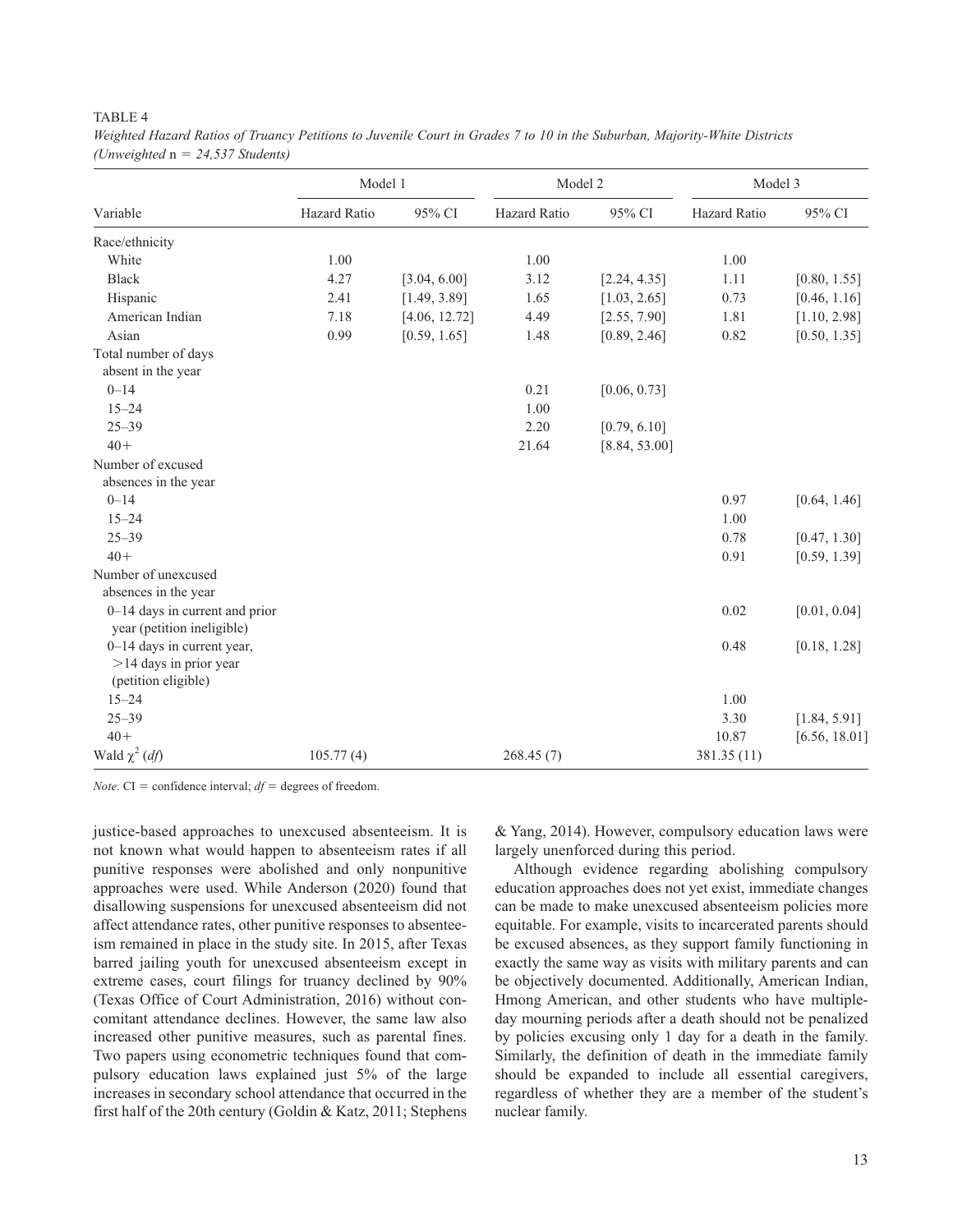# TABLE 4

|                                                                                | Model 1      |               | Model 2      |               | Model 3      |               |
|--------------------------------------------------------------------------------|--------------|---------------|--------------|---------------|--------------|---------------|
| Variable                                                                       | Hazard Ratio | 95% CI        | Hazard Ratio | 95% CI        | Hazard Ratio | 95% CI        |
| Race/ethnicity                                                                 |              |               |              |               |              |               |
| White                                                                          | 1.00         |               | 1.00         |               | 1.00         |               |
| <b>Black</b>                                                                   | 4.27         | [3.04, 6.00]  | 3.12         | [2.24, 4.35]  | 1.11         | [0.80, 1.55]  |
| Hispanic                                                                       | 2.41         | [1.49, 3.89]  | 1.65         | [1.03, 2.65]  | 0.73         | [0.46, 1.16]  |
| American Indian                                                                | 7.18         | [4.06, 12.72] | 4.49         | [2.55, 7.90]  | 1.81         | [1.10, 2.98]  |
| Asian                                                                          | 0.99         | [0.59, 1.65]  | 1.48         | [0.89, 2.46]  | 0.82         | [0.50, 1.35]  |
| Total number of days                                                           |              |               |              |               |              |               |
| absent in the year                                                             |              |               |              |               |              |               |
| $0 - 14$                                                                       |              |               | 0.21         | [0.06, 0.73]  |              |               |
| $15 - 24$                                                                      |              |               | 1.00         |               |              |               |
| $25 - 39$                                                                      |              |               | 2.20         | [0.79, 6.10]  |              |               |
| $40+$                                                                          |              |               | 21.64        | [8.84, 53.00] |              |               |
| Number of excused                                                              |              |               |              |               |              |               |
| absences in the year                                                           |              |               |              |               |              |               |
| $0 - 14$                                                                       |              |               |              |               | 0.97         | [0.64, 1.46]  |
| $15 - 24$                                                                      |              |               |              |               | 1.00         |               |
| $25 - 39$                                                                      |              |               |              |               | 0.78         | [0.47, 1.30]  |
| $40+$                                                                          |              |               |              |               | 0.91         | [0.59, 1.39]  |
| Number of unexcused                                                            |              |               |              |               |              |               |
| absences in the year                                                           |              |               |              |               |              |               |
| 0-14 days in current and prior<br>year (petition ineligible)                   |              |               |              |               | 0.02         | [0.01, 0.04]  |
| 0-14 days in current year,<br>$>$ 14 days in prior year<br>(petition eligible) |              |               |              |               | 0.48         | [0.18, 1.28]  |
| $15 - 24$                                                                      |              |               |              |               | 1.00         |               |
| $25 - 39$                                                                      |              |               |              |               | 3.30         | [1.84, 5.91]  |
| $40+$                                                                          |              |               |              |               | 10.87        | [6.56, 18.01] |
| Wald $\chi^2$ ( <i>df</i> )                                                    | 105.77(4)    |               | 268.45(7)    |               | 381.35 (11)  |               |

*Weighted Hazard Ratios of Truancy Petitions to Juvenile Court in Grades 7 to 10 in the Suburban, Majority-White Districts (Unweighted* n = *24,537 Students)*

*Note.* CI = confidence interval;  $df =$  degrees of freedom.

justice-based approaches to unexcused absenteeism. It is not known what would happen to absenteeism rates if all punitive responses were abolished and only nonpunitive approaches were used. While Anderson (2020) found that disallowing suspensions for unexcused absenteeism did not affect attendance rates, other punitive responses to absenteeism remained in place in the study site. In 2015, after Texas barred jailing youth for unexcused absenteeism except in extreme cases, court filings for truancy declined by 90% (Texas Office of Court Administration, 2016) without concomitant attendance declines. However, the same law also increased other punitive measures, such as parental fines. Two papers using econometric techniques found that compulsory education laws explained just 5% of the large increases in secondary school attendance that occurred in the first half of the 20th century (Goldin & Katz, 2011; Stephens

& Yang, 2014). However, compulsory education laws were largely unenforced during this period.

Although evidence regarding abolishing compulsory education approaches does not yet exist, immediate changes can be made to make unexcused absenteeism policies more equitable. For example, visits to incarcerated parents should be excused absences, as they support family functioning in exactly the same way as visits with military parents and can be objectively documented. Additionally, American Indian, Hmong American, and other students who have multipleday mourning periods after a death should not be penalized by policies excusing only 1 day for a death in the family. Similarly, the definition of death in the immediate family should be expanded to include all essential caregivers, regardless of whether they are a member of the student's nuclear family.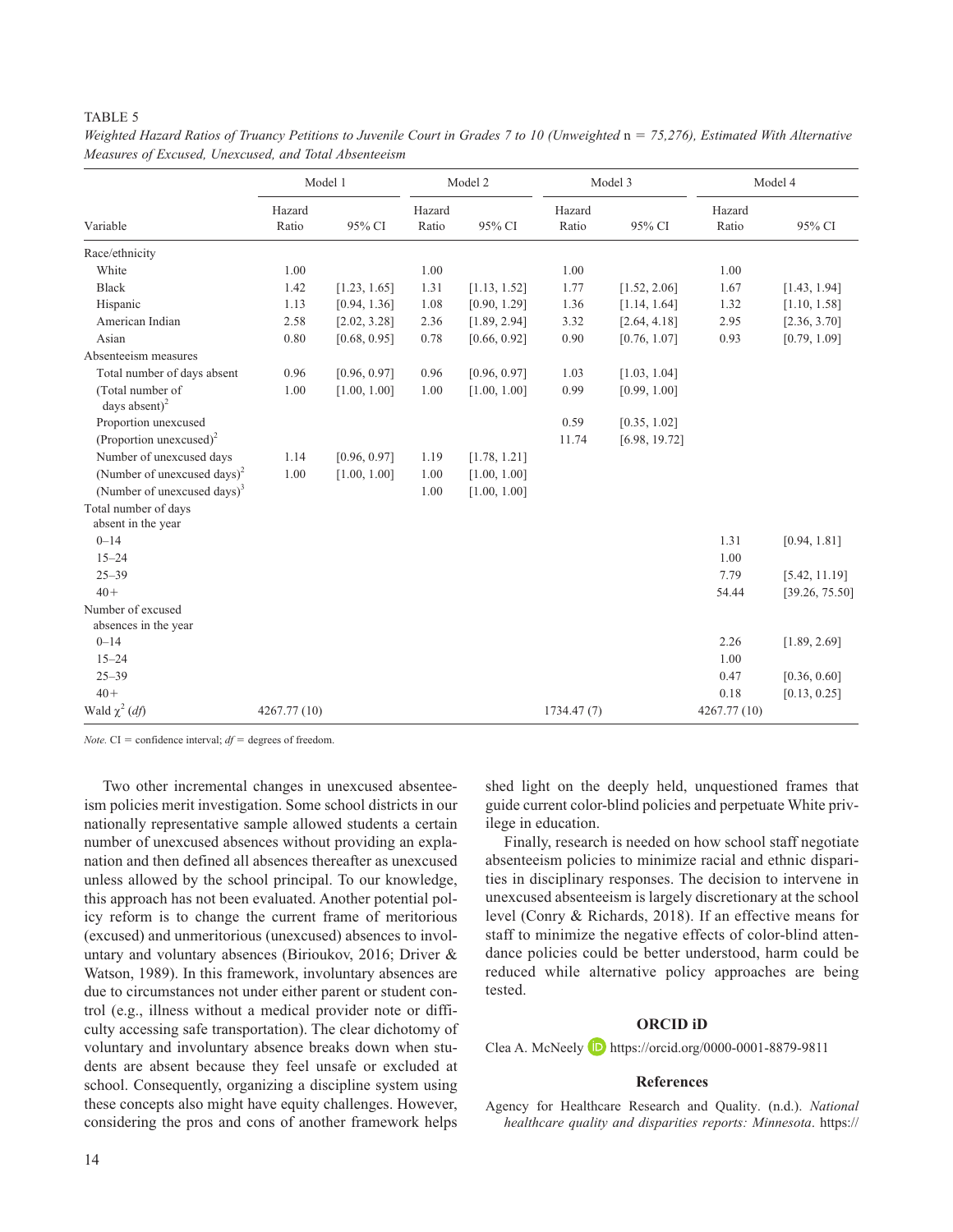# TABLE 5

|                                            | Model 1         |              | Model 2         |              | Model 3         |               | Model 4         |                |
|--------------------------------------------|-----------------|--------------|-----------------|--------------|-----------------|---------------|-----------------|----------------|
| Variable                                   | Hazard<br>Ratio | 95% CI       | Hazard<br>Ratio | 95% CI       | Hazard<br>Ratio | 95% CI        | Hazard<br>Ratio | 95% CI         |
| Race/ethnicity                             |                 |              |                 |              |                 |               |                 |                |
| White                                      | 1.00            |              | 1.00            |              | 1.00            |               | 1.00            |                |
| <b>Black</b>                               | 1.42            | [1.23, 1.65] | 1.31            | [1.13, 1.52] | 1.77            | [1.52, 2.06]  | 1.67            | [1.43, 1.94]   |
| Hispanic                                   | 1.13            | [0.94, 1.36] | 1.08            | [0.90, 1.29] | 1.36            | [1.14, 1.64]  | 1.32            | [1.10, 1.58]   |
| American Indian                            | 2.58            | [2.02, 3.28] | 2.36            | [1.89, 2.94] | 3.32            | [2.64, 4.18]  | 2.95            | [2.36, 3.70]   |
| Asian                                      | 0.80            | [0.68, 0.95] | 0.78            | [0.66, 0.92] | 0.90            | [0.76, 1.07]  | 0.93            | [0.79, 1.09]   |
| Absenteeism measures                       |                 |              |                 |              |                 |               |                 |                |
| Total number of days absent                | 0.96            | [0.96, 0.97] | 0.96            | [0.96, 0.97] | 1.03            | [1.03, 1.04]  |                 |                |
| (Total number of<br>days absent) $^{2}$    | 1.00            | [1.00, 1.00] | 1.00            | [1.00, 1.00] | 0.99            | [0.99, 1.00]  |                 |                |
| Proportion unexcused                       |                 |              |                 |              | 0.59            | [0.35, 1.02]  |                 |                |
| (Proportion unexcused) <sup>2</sup>        |                 |              |                 |              | 11.74           | [6.98, 19.72] |                 |                |
| Number of unexcused days                   | 1.14            | [0.96, 0.97] | 1.19            | [1.78, 1.21] |                 |               |                 |                |
| (Number of unexcused days) <sup>2</sup>    | 1.00            | [1.00, 1.00] | 1.00            | [1.00, 1.00] |                 |               |                 |                |
| (Number of unexcused days) $3$             |                 |              | 1.00            | [1.00, 1.00] |                 |               |                 |                |
| Total number of days<br>absent in the year |                 |              |                 |              |                 |               |                 |                |
| $0 - 14$                                   |                 |              |                 |              |                 |               | 1.31            | [0.94, 1.81]   |
| $15 - 24$                                  |                 |              |                 |              |                 |               | 1.00            |                |
| $25 - 39$                                  |                 |              |                 |              |                 |               | 7.79            | [5.42, 11.19]  |
| $40+$                                      |                 |              |                 |              |                 |               | 54.44           | [39.26, 75.50] |
| Number of excused<br>absences in the year  |                 |              |                 |              |                 |               |                 |                |
| $0 - 14$                                   |                 |              |                 |              |                 |               | 2.26            | [1.89, 2.69]   |
| $15 - 24$                                  |                 |              |                 |              |                 |               | 1.00            |                |
| $25 - 39$                                  |                 |              |                 |              |                 |               | 0.47            | [0.36, 0.60]   |
| $40+$                                      |                 |              |                 |              |                 |               | 0.18            | [0.13, 0.25]   |
| Wald $\chi^2$ (df)                         | 4267.77 (10)    |              |                 |              | 1734.47(7)      |               | 4267.77 (10)    |                |

Weighted Hazard Ratios of Truancy Petitions to Juvenile Court in Grades 7 to 10 (Unweighted  $n = 75,276$ ), Estimated With Alternative *Measures of Excused, Unexcused, and Total Absenteeism*

*Note.* CI = confidence interval; *df* = degrees of freedom.

Two other incremental changes in unexcused absenteeism policies merit investigation. Some school districts in our nationally representative sample allowed students a certain number of unexcused absences without providing an explanation and then defined all absences thereafter as unexcused unless allowed by the school principal. To our knowledge, this approach has not been evaluated. Another potential policy reform is to change the current frame of meritorious (excused) and unmeritorious (unexcused) absences to involuntary and voluntary absences (Birioukov, 2016; Driver & Watson, 1989). In this framework, involuntary absences are due to circumstances not under either parent or student control (e.g., illness without a medical provider note or difficulty accessing safe transportation). The clear dichotomy of voluntary and involuntary absence breaks down when students are absent because they feel unsafe or excluded at school. Consequently, organizing a discipline system using these concepts also might have equity challenges. However, considering the pros and cons of another framework helps

shed light on the deeply held, unquestioned frames that guide current color-blind policies and perpetuate White privilege in education.

Finally, research is needed on how school staff negotiate absenteeism policies to minimize racial and ethnic disparities in disciplinary responses. The decision to intervene in unexcused absenteeism is largely discretionary at the school level (Conry & Richards, 2018). If an effective means for staff to minimize the negative effects of color-blind attendance policies could be better understood, harm could be reduced while alternative policy approaches are being tested.

#### **ORCID iD**

Clea A. McNeely <https://orcid.org/0000-0001-8879-9811>

## **References**

Agency for Healthcare Research and Quality. (n.d.). *National healthcare quality and disparities reports: Minnesota*. [https://](https://nhqrnet.ahrq.gov/inhqrdr/Minnesota/benchmark/summary/All_Measures/All_Topics)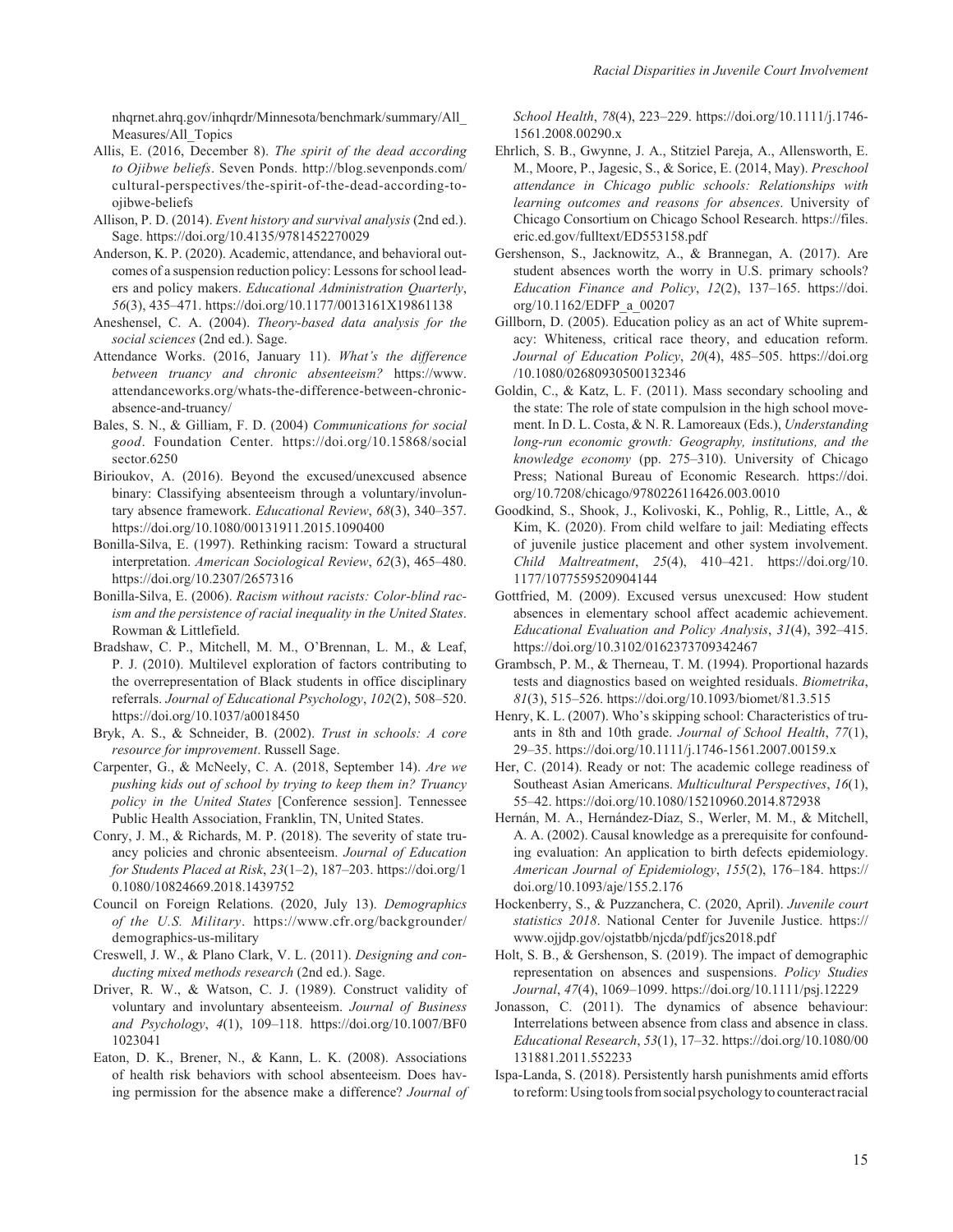[nhqrnet.ahrq.gov/inhqrdr/Minnesota/benchmark/summary/All\\_](https://nhqrnet.ahrq.gov/inhqrdr/Minnesota/benchmark/summary/All_Measures/All_Topics) [Measures/All\\_Topics](https://nhqrnet.ahrq.gov/inhqrdr/Minnesota/benchmark/summary/All_Measures/All_Topics)

- Allis, E. (2016, December 8). *The spirit of the dead according to Ojibwe beliefs*. Seven Ponds. [http://blog.sevenponds.com/](http://blog.sevenponds.com/cultural-perspectives/the-spirit-of-the-dead-according-to-ojibwe-beliefs) [cultural-perspectives/the-spirit-of-the-dead-according-to](http://blog.sevenponds.com/cultural-perspectives/the-spirit-of-the-dead-according-to-ojibwe-beliefs)[ojibwe-beliefs](http://blog.sevenponds.com/cultural-perspectives/the-spirit-of-the-dead-according-to-ojibwe-beliefs)
- Allison, P. D. (2014). *Event history and survival analysis* (2nd ed.). Sage. <https://doi.org/10.4135/9781452270029>
- Anderson, K. P. (2020). Academic, attendance, and behavioral outcomes of a suspension reduction policy: Lessons for school leaders and policy makers. *Educational Administration Quarterly*, *56*(3), 435–471. <https://doi.org/10.1177/0013161X19861138>
- Aneshensel, C. A. (2004). *Theory-based data analysis for the social sciences* (2nd ed.). Sage.
- Attendance Works. (2016, January 11). *What's the difference between truancy and chronic absenteeism?* [https://www.](https://www.attendanceworks.org/whats-the-difference-between-chronic-absence-and-truancy/) [attendanceworks.org/whats-the-difference-between-chronic](https://www.attendanceworks.org/whats-the-difference-between-chronic-absence-and-truancy/)[absence-and-truancy/](https://www.attendanceworks.org/whats-the-difference-between-chronic-absence-and-truancy/)
- Bales, S. N., & Gilliam, F. D. (2004) *Communications for social good*. Foundation Center. [https://doi.org/10.15868/social](https://doi.org/10.15868/socialsector.6250) [sector.6250](https://doi.org/10.15868/socialsector.6250)
- Birioukov, A. (2016). Beyond the excused/unexcused absence binary: Classifying absenteeism through a voluntary/involuntary absence framework. *Educational Review*, *68*(3), 340–357. <https://doi.org/10.1080/00131911.2015.1090400>
- Bonilla-Silva, E. (1997). Rethinking racism: Toward a structural interpretation. *American Sociological Review*, *62*(3), 465–480. <https://doi.org/10.2307/2657316>
- Bonilla-Silva, E. (2006). *Racism without racists: Color-blind racism and the persistence of racial inequality in the United States*. Rowman & Littlefield.
- Bradshaw, C. P., Mitchell, M. M., O'Brennan, L. M., & Leaf, P. J. (2010). Multilevel exploration of factors contributing to the overrepresentation of Black students in office disciplinary referrals. *Journal of Educational Psychology*, *102*(2), 508–520. <https://doi.org/10.1037/a0018450>
- Bryk, A. S., & Schneider, B. (2002). *Trust in schools: A core resource for improvement*. Russell Sage.
- Carpenter, G., & McNeely, C. A. (2018, September 14). *Are we pushing kids out of school by trying to keep them in? Truancy policy in the United States* [Conference session]. Tennessee Public Health Association, Franklin, TN, United States.
- Conry, J. M., & Richards, M. P. (2018). The severity of state truancy policies and chronic absenteeism. *Journal of Education for Students Placed at Risk*, *23*(1–2), 187–203. [https://doi.org/1](https://doi.org/10.1080/10824669.2018.1439752) [0.1080/10824669.2018.1439752](https://doi.org/10.1080/10824669.2018.1439752)
- Council on Foreign Relations. (2020, July 13). *Demographics of the U.S. Military*. [https://www.cfr.org/backgrounder/](https://www.cfr.org/backgrounder/demographics-us-military) [demographics-us-military](https://www.cfr.org/backgrounder/demographics-us-military)
- Creswell, J. W., & Plano Clark, V. L. (2011). *Designing and conducting mixed methods research* (2nd ed.). Sage.
- Driver, R. W., & Watson, C. J. (1989). Construct validity of voluntary and involuntary absenteeism. *Journal of Business and Psychology*, *4*(1), 109–118. [https://doi.org/10.1007/BF0](https://doi.org/10.1007/BF01023041) [1023041](https://doi.org/10.1007/BF01023041)
- Eaton, D. K., Brener, N., & Kann, L. K. (2008). Associations of health risk behaviors with school absenteeism. Does having permission for the absence make a difference? *Journal of*

*School Health*, *78*(4), 223–229. [https://doi.org/10.1111/j.1746-](https://doi.org/10.1111/j.1746-1561.2008.00290.x) [1561.2008.00290.x](https://doi.org/10.1111/j.1746-1561.2008.00290.x)

- Ehrlich, S. B., Gwynne, J. A., Stitziel Pareja, A., Allensworth, E. M., Moore, P., Jagesic, S., & Sorice, E. (2014, May). *Preschool attendance in Chicago public schools: Relationships with learning outcomes and reasons for absences*. University of Chicago Consortium on Chicago School Research. [https://files.](https://files.eric.ed.gov/fulltext/ED553158.pdf) [eric.ed.gov/fulltext/ED553158.pdf](https://files.eric.ed.gov/fulltext/ED553158.pdf)
- Gershenson, S., Jacknowitz, A., & Brannegan, A. (2017). Are student absences worth the worry in U.S. primary schools? *Education Finance and Policy*, *12*(2), 137–165. [https://doi.](https://doi.org/10.1162/EDFP_a_00207) [org/10.1162/EDFP\\_a\\_00207](https://doi.org/10.1162/EDFP_a_00207)
- Gillborn, D. (2005). Education policy as an act of White supremacy: Whiteness, critical race theory, and education reform. *Journal of Education Policy*, *20*(4), 485–505. [https://doi.org](https://doi.org/10.1080/02680930500132346) [/10.1080/02680930500132346](https://doi.org/10.1080/02680930500132346)
- Goldin, C., & Katz, L. F. (2011). Mass secondary schooling and the state: The role of state compulsion in the high school movement. In D. L. Costa, & N. R. Lamoreaux (Eds.), *Understanding long-run economic growth: Geography, institutions, and the knowledge economy* (pp. 275–310). University of Chicago Press; National Bureau of Economic Research. [https://doi.](https://doi.org/10.7208/chicago/9780226116426.003.0010) [org/10.7208/chicago/9780226116426.003.0010](https://doi.org/10.7208/chicago/9780226116426.003.0010)
- Goodkind, S., Shook, J., Kolivoski, K., Pohlig, R., Little, A., & Kim, K. (2020). From child welfare to jail: Mediating effects of juvenile justice placement and other system involvement. *Child Maltreatment*, *25*(4), 410–421. [https://doi.org/10.](https://doi.org/10.1177/1077559520904144) [1177/1077559520904144](https://doi.org/10.1177/1077559520904144)
- Gottfried, M. (2009). Excused versus unexcused: How student absences in elementary school affect academic achievement. *Educational Evaluation and Policy Analysis*, *31*(4), 392–415. <https://doi.org/10.3102/0162373709342467>
- Grambsch, P. M., & Therneau, T. M. (1994). Proportional hazards tests and diagnostics based on weighted residuals. *Biometrika*, *81*(3), 515–526.<https://doi.org/10.1093/biomet/81.3.515>
- Henry, K. L. (2007). Who's skipping school: Characteristics of truants in 8th and 10th grade. *Journal of School Health*, *77*(1), 29–35.<https://doi.org/10.1111/j.1746-1561.2007.00159.x>
- Her, C. (2014). Ready or not: The academic college readiness of Southeast Asian Americans. *Multicultural Perspectives*, *16*(1), 55–42.<https://doi.org/10.1080/15210960.2014.872938>
- Hernán, M. A., Hernández-Díaz, S., Werler, M. M., & Mitchell, A. A. (2002). Causal knowledge as a prerequisite for confounding evaluation: An application to birth defects epidemiology. *American Journal of Epidemiology*, *155*(2), 176–184. [https://](https://doi.org/10.1093/aje/155.2.176) [doi.org/10.1093/aje/155.2.176](https://doi.org/10.1093/aje/155.2.176)
- Hockenberry, S., & Puzzanchera, C. (2020, April). *Juvenile court statistics 2018*. National Center for Juvenile Justice. [https://](https://www.ojjdp.gov/ojstatbb/njcda/pdf/jcs2018.pdf) [www.ojjdp.gov/ojstatbb/njcda/pdf/jcs2018.pdf](https://www.ojjdp.gov/ojstatbb/njcda/pdf/jcs2018.pdf)
- Holt, S. B., & Gershenson, S. (2019). The impact of demographic representation on absences and suspensions. *Policy Studies Journal*, *47*(4), 1069–1099.<https://doi.org/10.1111/psj.12229>
- Jonasson, C. (2011). The dynamics of absence behaviour: Interrelations between absence from class and absence in class. *Educational Research*, *53*(1), 17–32. [https://doi.org/10.1080/00](https://doi.org/10.1080/00131881.2011.552233) [131881.2011.552233](https://doi.org/10.1080/00131881.2011.552233)
- Ispa-Landa, S. (2018). Persistently harsh punishments amid efforts to reform: Using tools from social psychology to counteract racial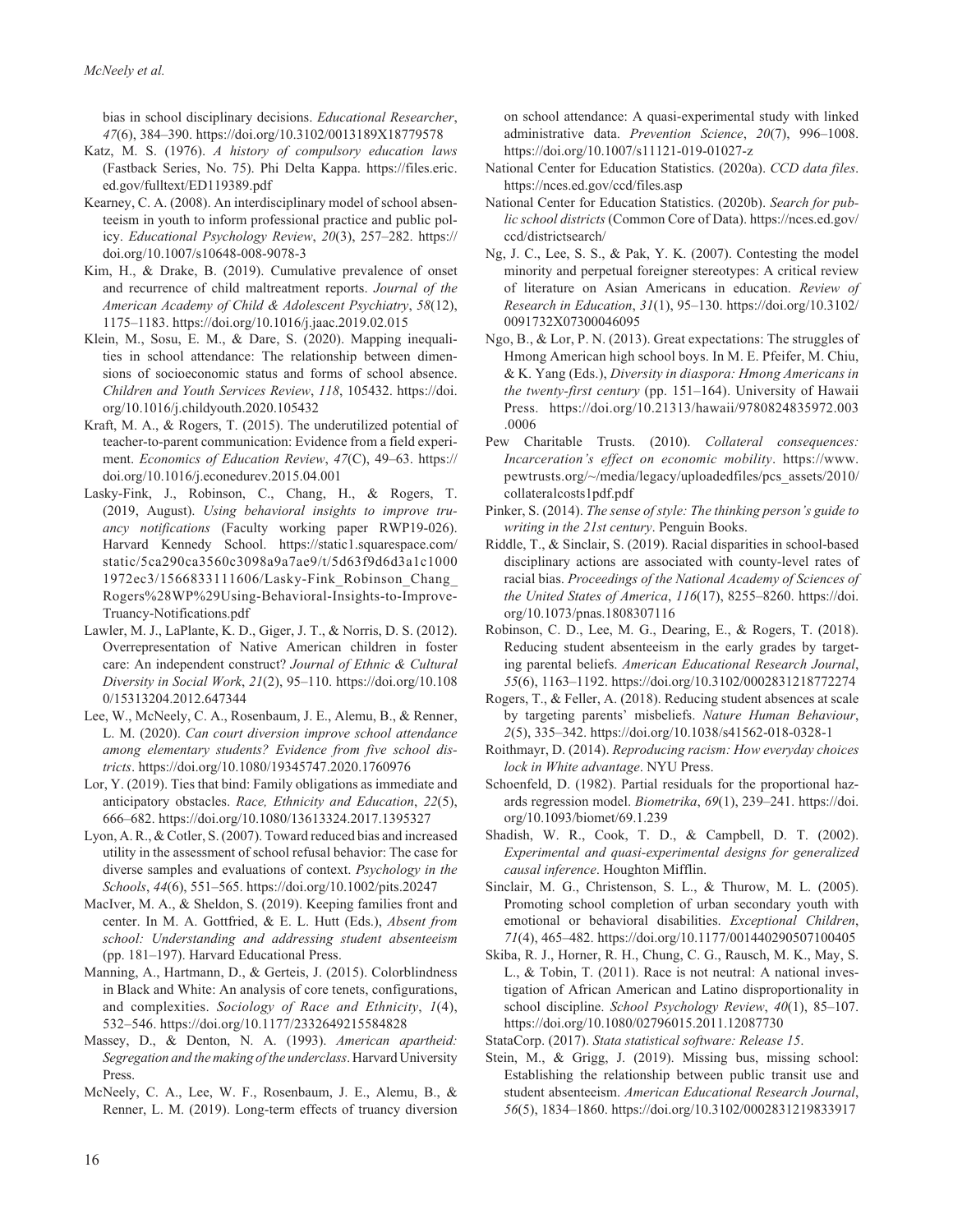bias in school disciplinary decisions. *Educational Researcher*, *47*(6), 384–390. <https://doi.org/10.3102/0013189X18779578>

- Katz, M. S. (1976). *A history of compulsory education laws* (Fastback Series, No. 75). Phi Delta Kappa. [https://files.eric.](https://files.eric.ed.gov/fulltext/ED119389.pdf) [ed.gov/fulltext/ED119389.pdf](https://files.eric.ed.gov/fulltext/ED119389.pdf)
- Kearney, C. A. (2008). An interdisciplinary model of school absenteeism in youth to inform professional practice and public policy. *Educational Psychology Review*, *20*(3), 257–282. [https://](https://doi.org/10.1007/s10648-008-9078-3) [doi.org/10.1007/s10648-008-9078-3](https://doi.org/10.1007/s10648-008-9078-3)
- Kim, H., & Drake, B. (2019). Cumulative prevalence of onset and recurrence of child maltreatment reports. *Journal of the American Academy of Child & Adolescent Psychiatry*, *58*(12), 1175–1183. <https://doi.org/10.1016/j.jaac.2019.02.015>
- Klein, M., Sosu, E. M., & Dare, S. (2020). Mapping inequalities in school attendance: The relationship between dimensions of socioeconomic status and forms of school absence. *Children and Youth Services Review*, *118*, 105432. [https://doi.](https://doi.org/10.1016/j.childyouth.2020.105432) [org/10.1016/j.childyouth.2020.105432](https://doi.org/10.1016/j.childyouth.2020.105432)
- Kraft, M. A., & Rogers, T. (2015). The underutilized potential of teacher-to-parent communication: Evidence from a field experiment. *Economics of Education Review*, *47*(C), 49–63. [https://](https://doi.org/10.1016/j.econedurev.2015.04.001) [doi.org/10.1016/j.econedurev.2015.04.001](https://doi.org/10.1016/j.econedurev.2015.04.001)
- Lasky-Fink, J., Robinson, C., Chang, H., & Rogers, T. (2019, August). *Using behavioral insights to improve truancy notifications* (Faculty working paper RWP19-026). Harvard Kennedy School. [https://static1.squarespace.com/](https://static1.squarespace.com/static/5ca290ca3560c3098a9a7ae9/t/5d63f9d6d3a1c10001972ec3/1566833111606/Lasky-Fink_Robinson_Chang_Rogers%28WP%29Using-Behavioral-Insights-to-Improve-Truancy-Notifications.pdf) [static/5ca290ca3560c3098a9a7ae9/t/5d63f9d6d3a1c1000](https://static1.squarespace.com/static/5ca290ca3560c3098a9a7ae9/t/5d63f9d6d3a1c10001972ec3/1566833111606/Lasky-Fink_Robinson_Chang_Rogers%28WP%29Using-Behavioral-Insights-to-Improve-Truancy-Notifications.pdf) [1972ec3/1566833111606/Lasky-Fink\\_Robinson\\_Chang\\_](https://static1.squarespace.com/static/5ca290ca3560c3098a9a7ae9/t/5d63f9d6d3a1c10001972ec3/1566833111606/Lasky-Fink_Robinson_Chang_Rogers%28WP%29Using-Behavioral-Insights-to-Improve-Truancy-Notifications.pdf) [Rogers%28WP%29Using-Behavioral-Insights-to-Improve-](https://static1.squarespace.com/static/5ca290ca3560c3098a9a7ae9/t/5d63f9d6d3a1c10001972ec3/1566833111606/Lasky-Fink_Robinson_Chang_Rogers%28WP%29Using-Behavioral-Insights-to-Improve-Truancy-Notifications.pdf)[Truancy-Notifications.pdf](https://static1.squarespace.com/static/5ca290ca3560c3098a9a7ae9/t/5d63f9d6d3a1c10001972ec3/1566833111606/Lasky-Fink_Robinson_Chang_Rogers%28WP%29Using-Behavioral-Insights-to-Improve-Truancy-Notifications.pdf)
- Lawler, M. J., LaPlante, K. D., Giger, J. T., & Norris, D. S. (2012). Overrepresentation of Native American children in foster care: An independent construct? *Journal of Ethnic & Cultural Diversity in Social Work*, *21*(2), 95–110. [https://doi.org/10.108](https://doi.org/10.1080/15313204.2012.647344) [0/15313204.2012.647344](https://doi.org/10.1080/15313204.2012.647344)
- Lee, W., McNeely, C. A., Rosenbaum, J. E., Alemu, B., & Renner, L. M. (2020). *Can court diversion improve school attendance among elementary students? Evidence from five school districts*.<https://doi.org/10.1080/19345747.2020.1760976>
- Lor, Y. (2019). Ties that bind: Family obligations as immediate and anticipatory obstacles. *Race, Ethnicity and Education*, *22*(5), 666–682. <https://doi.org/10.1080/13613324.2017.1395327>
- Lyon, A. R., & Cotler, S. (2007). Toward reduced bias and increased utility in the assessment of school refusal behavior: The case for diverse samples and evaluations of context. *Psychology in the Schools*, *44*(6), 551–565.<https://doi.org/10.1002/pits.20247>
- MacIver, M. A., & Sheldon, S. (2019). Keeping families front and center. In M. A. Gottfried, & E. L. Hutt (Eds.), *Absent from school: Understanding and addressing student absenteeism* (pp. 181–197). Harvard Educational Press.
- Manning, A., Hartmann, D., & Gerteis, J. (2015). Colorblindness in Black and White: An analysis of core tenets, configurations, and complexities. *Sociology of Race and Ethnicity*, *1*(4), 532–546. <https://doi.org/10.1177/2332649215584828>
- Massey, D., & Denton, N. A. (1993). *American apartheid: Segregation and the making of the underclass*. Harvard University Press.
- McNeely, C. A., Lee, W. F., Rosenbaum, J. E., Alemu, B., & Renner, L. M. (2019). Long-term effects of truancy diversion

on school attendance: A quasi-experimental study with linked administrative data. *Prevention Science*, *20*(7), 996–1008. <https://doi.org/10.1007/s11121-019-01027-z>

- National Center for Education Statistics. (2020a). *CCD data files*. <https://nces.ed.gov/ccd/files.asp>
- National Center for Education Statistics. (2020b). *Search for public school districts* (Common Core of Data). [https://nces.ed.gov/](https://nces.ed.gov/ccd/districtsearch/) [ccd/districtsearch/](https://nces.ed.gov/ccd/districtsearch/)
- Ng, J. C., Lee, S. S., & Pak, Y. K. (2007). Contesting the model minority and perpetual foreigner stereotypes: A critical review of literature on Asian Americans in education. *Review of Research in Education*, *31*(1), 95–130. [https://doi.org/10.3102/](https://doi.org/10.3102/0091732X07300046095) [0091732X07300046095](https://doi.org/10.3102/0091732X07300046095)
- Ngo, B., & Lor, P. N. (2013). Great expectations: The struggles of Hmong American high school boys. In M. E. Pfeifer, M. Chiu, & K. Yang (Eds.), *Diversity in diaspora: Hmong Americans in the twenty-first century* (pp. 151–164). University of Hawaii Press. [https://doi.org/10.21313/hawaii/9780824835972.003](https://doi.org/10.21313/hawaii/9780824835972.003.0006) [.0006](https://doi.org/10.21313/hawaii/9780824835972.003.0006)
- Pew Charitable Trusts. (2010). *Collateral consequences: Incarceration's effect on economic mobility*. [https://www.](https://www.pewtrusts.org/~/media/legacy/uploadedfiles/pcs_assets/2010/collateralcosts1pdf.pdf) [pewtrusts.org/~/media/legacy/uploadedfiles/pcs\\_assets/2010/](https://www.pewtrusts.org/~/media/legacy/uploadedfiles/pcs_assets/2010/collateralcosts1pdf.pdf) [collateralcosts1pdf.pdf](https://www.pewtrusts.org/~/media/legacy/uploadedfiles/pcs_assets/2010/collateralcosts1pdf.pdf)
- Pinker, S. (2014). *The sense of style: The thinking person's guide to writing in the 21st century*. Penguin Books.
- Riddle, T., & Sinclair, S. (2019). Racial disparities in school-based disciplinary actions are associated with county-level rates of racial bias. *Proceedings of the National Academy of Sciences of the United States of America*, *116*(17), 8255–8260. [https://doi.](https://doi.org/10.1073/pnas.1808307116) [org/10.1073/pnas.1808307116](https://doi.org/10.1073/pnas.1808307116)
- Robinson, C. D., Lee, M. G., Dearing, E., & Rogers, T. (2018). Reducing student absenteeism in the early grades by targeting parental beliefs. *American Educational Research Journal*, *55*(6), 1163–1192. <https://doi.org/10.3102/0002831218772274>
- Rogers, T., & Feller, A. (2018). Reducing student absences at scale by targeting parents' misbeliefs. *Nature Human Behaviour*, *2*(5), 335–342.<https://doi.org/10.1038/s41562-018-0328-1>
- Roithmayr, D. (2014). *Reproducing racism: How everyday choices lock in White advantage*. NYU Press.
- Schoenfeld, D. (1982). Partial residuals for the proportional hazards regression model. *Biometrika*, *69*(1), 239–241. [https://doi.](https://doi.org/10.1093/biomet/69.1.239) [org/10.1093/biomet/69.1.239](https://doi.org/10.1093/biomet/69.1.239)
- Shadish, W. R., Cook, T. D., & Campbell, D. T. (2002). *Experimental and quasi-experimental designs for generalized causal inference*. Houghton Mifflin.
- Sinclair, M. G., Christenson, S. L., & Thurow, M. L. (2005). Promoting school completion of urban secondary youth with emotional or behavioral disabilities. *Exceptional Children*, *71*(4), 465–482. <https://doi.org/10.1177/001440290507100405>
- Skiba, R. J., Horner, R. H., Chung, C. G., Rausch, M. K., May, S. L., & Tobin, T. (2011). Race is not neutral: A national investigation of African American and Latino disproportionality in school discipline. *School Psychology Review*, *40*(1), 85–107. <https://doi.org/10.1080/02796015.2011.12087730>
- StataCorp. (2017). *Stata statistical software: Release 15*.
- Stein, M., & Grigg, J. (2019). Missing bus, missing school: Establishing the relationship between public transit use and student absenteeism. *American Educational Research Journal*, *56*(5), 1834–1860. <https://doi.org/10.3102/0002831219833917>